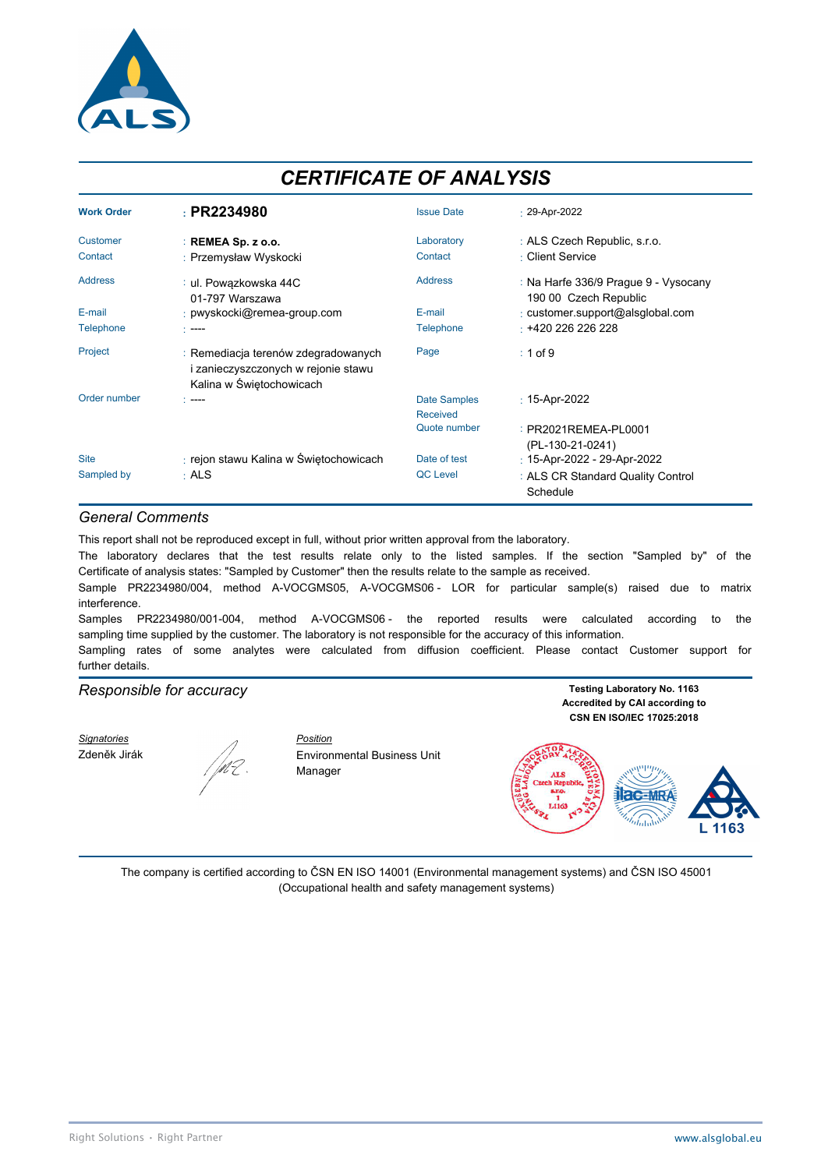

# *CERTIFICATE OF ANALYSIS*

| <b>Work Order</b> | : PR2234980                                                                                            | <b>Issue Date</b>   | $\cdot$ 29-Apr-2022                                           |
|-------------------|--------------------------------------------------------------------------------------------------------|---------------------|---------------------------------------------------------------|
| <b>Customer</b>   | $:$ REMEA Sp. z o.o.                                                                                   | Laboratory          | : ALS Czech Republic, s.r.o.                                  |
| Contact           | : Przemysław Wyskocki                                                                                  | Contact             | : Client Service                                              |
| <b>Address</b>    | ∶ ul. Powązkowska 44C<br>01-797 Warszawa                                                               | <b>Address</b>      | : Na Harfe 336/9 Praque 9 - Vysocany<br>190 00 Czech Republic |
| E-mail            | : pwyskocki@remea-group.com                                                                            | E-mail              | : customer.support@alsglobal.com                              |
| <b>Telephone</b>  | $\sim$ ----                                                                                            | <b>Telephone</b>    | $+420226226228$                                               |
| Project           | : Remediacja terenów zdegradowanych<br>i zanieczyszczonych w rejonie stawu<br>Kalina w Świętochowicach | Page                | $: 1$ of 9                                                    |
| Order number      | - ----                                                                                                 | <b>Date Samples</b> | $: 15 -$ Apr-2022                                             |
|                   |                                                                                                        | Received            |                                                               |
|                   |                                                                                                        | Quote number        | : PR2021REMEA-PL0001<br>(PL-130-21-0241)                      |
| <b>Site</b>       | : rejon stawu Kalina w Świętochowicach                                                                 | Date of test        | : 15-Apr-2022 - 29-Apr-2022                                   |
| Sampled by        | $·$ ALS                                                                                                | <b>QC</b> Level     | : ALS CR Standard Quality Control<br>Schedule                 |

#### *General Comments*

This report shall not be reproduced except in full, without prior written approval from the laboratory.

The laboratory declares that the test results relate only to the listed samples. If the section "Sampled by" of the Certificate of analysis states: "Sampled by Customer" then the results relate to the sample as received.

Sample PR2234980/004, method A-VOCGMS05, A-VOCGMS06 - LOR for particular sample(s) raised due to matrix interference.

Samples PR2234980/001-004, method A-VOCGMS06 - the reported results were calculated according to the sampling time supplied by the customer. The laboratory is not responsible for the accuracy of this information.

Sampling rates of some analytes were calculated from diffusion coefficient. Please contact Customer support for further details.

### **Responsible for accuracy Testing Laboratory No. 1163**

*Signatories Position*



Zdeněk Jirák  $\sqrt{\frac{M}{L}}$  Environmental Business Unit Manager

**Accredited by CAI according to CSN EN ISO/IEC 17025:2018**



The company is certified according to ČSN EN ISO 14001 (Environmental management systems) and ČSN ISO 45001 (Occupational health and safety management systems)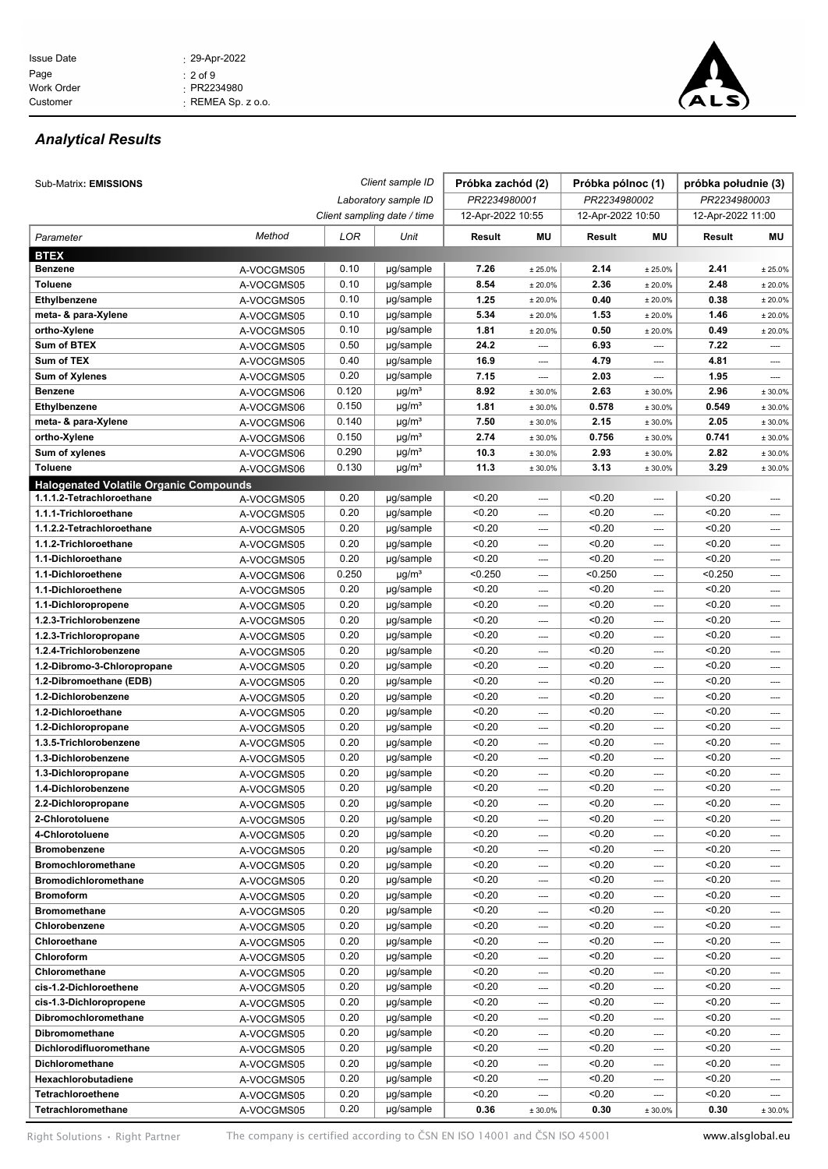

## *Analytical Results*

| Sub-Matrix: EMISSIONS                          |                          | Client sample ID |                             | Próbka zachód (2) |              | Próbka pólnoc (1) |                          | próbka południe (3) |                                  |
|------------------------------------------------|--------------------------|------------------|-----------------------------|-------------------|--------------|-------------------|--------------------------|---------------------|----------------------------------|
|                                                |                          |                  | Laboratory sample ID        | PR2234980001      |              | PR2234980002      |                          | PR2234980003        |                                  |
|                                                |                          |                  | Client sampling date / time | 12-Apr-2022 10:55 |              | 12-Apr-2022 10:50 |                          | 12-Apr-2022 11:00   |                                  |
| Parameter                                      | Method                   | LOR              | Unit                        | Result            | ΜU           | Result            | ΜU                       | Result              | ΜU                               |
| <b>BTEX</b>                                    |                          |                  |                             |                   |              |                   |                          |                     |                                  |
| <b>Benzene</b>                                 | A-VOCGMS05               | 0.10             | µg/sample                   | 7.26              | ± 25.0%      | 2.14              | ± 25.0%                  | 2.41                | ± 25.0%                          |
| <b>Toluene</b>                                 | A-VOCGMS05               | 0.10             | µg/sample                   | 8.54              | ± 20.0%      | 2.36              | ± 20.0%                  | 2.48                | ± 20.0%                          |
| Ethylbenzene                                   | A-VOCGMS05               | 0.10             | µg/sample                   | 1.25              | ± 20.0%      | 0.40              | ± 20.0%                  | 0.38                | ± 20.0%                          |
| meta- & para-Xylene                            | A-VOCGMS05               | 0.10             | µg/sample                   | 5.34              | ± 20.0%      | 1.53              | ± 20.0%                  | 1.46                | ± 20.0%                          |
| ortho-Xylene                                   | A-VOCGMS05               | 0.10             | µg/sample                   | 1.81              | ± 20.0%      | 0.50              | ± 20.0%                  | 0.49                | ± 20.0%                          |
| Sum of BTEX                                    | A-VOCGMS05               | 0.50             | µg/sample                   | 24.2              | ----         | 6.93              | ----                     | 7.22                | $\cdots$                         |
| Sum of TEX                                     | A-VOCGMS05               | 0.40             | µg/sample                   | 16.9              | ----         | 4.79              | ----                     | 4.81                | $\cdots$                         |
| <b>Sum of Xylenes</b>                          | A-VOCGMS05               | 0.20             | µg/sample                   | 7.15              | ----         | 2.03              | ----                     | 1.95                | ----                             |
| <b>Benzene</b>                                 | A-VOCGMS06               | 0.120            | $\mu$ g/m <sup>3</sup>      | 8.92              | ± 30.0%      | 2.63              | ± 30.0%                  | 2.96                | ± 30.0%                          |
| Ethylbenzene                                   | A-VOCGMS06               | 0.150            | $\mu$ g/m <sup>3</sup>      | 1.81              | ± 30.0%      | 0.578             | ± 30.0%                  | 0.549               | ± 30.0%                          |
| meta- & para-Xylene                            | A-VOCGMS06               | 0.140            | $\mu$ g/m <sup>3</sup>      | 7.50              | ± 30.0%      | 2.15              | ± 30.0%                  | 2.05                | ± 30.0%                          |
| ortho-Xylene                                   | A-VOCGMS06               | 0.150            | $\mu$ g/m <sup>3</sup>      | 2.74              | ± 30.0%      | 0.756             | ± 30.0%                  | 0.741               | ± 30.0%                          |
| Sum of xylenes                                 | A-VOCGMS06               | 0.290            | $\mu$ g/m <sup>3</sup>      | 10.3              | ± 30.0%      | 2.93              | ± 30.0%                  | 2.82                | ± 30.0%                          |
| <b>Toluene</b>                                 | A-VOCGMS06               | 0.130            | $\mu$ g/m <sup>3</sup>      | 11.3              | ± 30.0%      | 3.13              | ± 30.0%                  | 3.29                | ± 30.0%                          |
| <b>Halogenated Volatile Organic Compounds</b>  |                          |                  |                             |                   |              |                   |                          |                     |                                  |
| 1.1.1.2-Tetrachloroethane                      | A-VOCGMS05               | 0.20             | µg/sample                   | < 0.20            | ----         | < 0.20            | ----                     | < 0.20              |                                  |
| 1.1.1-Trichloroethane                          | A-VOCGMS05               | 0.20             | µg/sample                   | < 0.20            | ----         | < 0.20            | ----                     | < 0.20              | $\overline{\phantom{a}}$         |
| 1.1.2.2-Tetrachloroethane                      | A-VOCGMS05               | 0.20             | µg/sample                   | < 0.20            | ----         | < 0.20            | ----                     | < 0.20              | $\overline{\phantom{a}}$         |
| 1.1.2-Trichloroethane                          | A-VOCGMS05               | 0.20             | µg/sample                   | < 0.20            | ----         | < 0.20            | ----                     | < 0.20              | $\cdots$                         |
| 1.1-Dichloroethane                             | A-VOCGMS05               | 0.20             | µg/sample                   | < 0.20            | ----         | < 0.20            | ----                     | < 0.20              | $\cdots$                         |
| 1.1-Dichloroethene                             | A-VOCGMS06               | 0.250            | $\mu$ g/m <sup>3</sup>      | < 0.250           | ----         | < 0.250           | ----                     | < 0.250             | $\overline{\phantom{a}}$         |
| 1.1-Dichloroethene                             | A-VOCGMS05               | 0.20             | µg/sample                   | < 0.20            | ----         | < 0.20            | ----                     | < 0.20              | ----                             |
| 1.1-Dichloropropene                            | A-VOCGMS05               | 0.20             | µg/sample                   | < 0.20            | ----         | < 0.20            | ----                     | < 0.20              | ----                             |
| 1.2.3-Trichlorobenzene                         | A-VOCGMS05               | 0.20             | µg/sample                   | < 0.20            | ----         | < 0.20            | ----                     | < 0.20              | $\overline{\phantom{a}}$         |
| 1.2.3-Trichloropropane                         | A-VOCGMS05               | 0.20             | µg/sample                   | < 0.20            | ----         | < 0.20            | ----                     | < 0.20              | ----                             |
| 1.2.4-Trichlorobenzene                         | A-VOCGMS05               | 0.20             | µg/sample                   | < 0.20            | ----         | < 0.20            | ----                     | < 0.20              | ----                             |
| 1.2-Dibromo-3-Chloropropane                    | A-VOCGMS05               | 0.20             | µg/sample                   | < 0.20            | ----         | < 0.20            | ----                     | < 0.20              | $\cdots$                         |
| 1.2-Dibromoethane (EDB)<br>1.2-Dichlorobenzene | A-VOCGMS05               | 0.20<br>0.20     | µg/sample<br>µg/sample      | < 0.20<br>< 0.20  | ----         | < 0.20<br>< 0.20  | ----                     | < 0.20<br>< 0.20    | ----                             |
| 1.2-Dichloroethane                             | A-VOCGMS05               | 0.20             | µg/sample                   | < 0.20            | ----         | < 0.20            | ----<br>----             | < 0.20              | ----<br>$\overline{\phantom{a}}$ |
| 1.2-Dichloropropane                            | A-VOCGMS05<br>A-VOCGMS05 | 0.20             | µg/sample                   | < 0.20            | ----<br>---- | < 0.20            | ----                     | < 0.20              | $\cdots$                         |
| 1.3.5-Trichlorobenzene                         | A-VOCGMS05               | 0.20             | µg/sample                   | < 0.20            | ----         | < 0.20            | ----                     | < 0.20              | $\overline{\phantom{a}}$         |
| 1.3-Dichlorobenzene                            | A-VOCGMS05               | 0.20             | µg/sample                   | < 0.20            | ----         | < 0.20            | ----                     | < 0.20              | $\cdots$                         |
| 1.3-Dichloropropane                            | A-VOCGMS05               | 0.20             | µg/sample                   | < 0.20            | ----         | < 0.20            | ----                     | < 0.20              | ----                             |
| 1.4-Dichlorobenzene                            | A-VOCGMS05               | 0.20             | µg/sample                   | < 0.20            | ----         | < 0.20            | ----                     | < 0.20              | ----                             |
| 2.2-Dichloropropane                            | A-VOCGMS05               | 0.20             | µg/sample                   | < 0.20            | ----         | < 0.20            | ----                     | < 0.20              | $\cdots$                         |
| 2-Chlorotoluene                                | A-VOCGMS05               | 0.20             | µg/sample                   | < 0.20            | ----         | < 0.20            | ----                     | < 0.20              | ----                             |
| 4-Chlorotoluene                                | A-VOCGMS05               | 0.20             | µg/sample                   | < 0.20            | ----         | < 0.20            | ----                     | < 0.20              | ----                             |
| <b>Bromobenzene</b>                            | A-VOCGMS05               | 0.20             | µg/sample                   | < 0.20            | ----         | < 0.20            | ----                     | < 0.20              | $\cdots$                         |
| <b>Bromochloromethane</b>                      | A-VOCGMS05               | 0.20             | µg/sample                   | < 0.20            | ----         | < 0.20            |                          | < 0.20              | ----                             |
| <b>Bromodichloromethane</b>                    | A-VOCGMS05               | 0.20             | µg/sample                   | < 0.20            | ----         | < 0.20            | ----                     | < 0.20              | $\cdots$                         |
| <b>Bromoform</b>                               | A-VOCGMS05               | 0.20             | µg/sample                   | < 0.20            | ----         | < 0.20            | ----                     | < 0.20              | $\cdots$                         |
| <b>Bromomethane</b>                            | A-VOCGMS05               | 0.20             | µg/sample                   | < 0.20            | ----         | < 0.20            | ----                     | < 0.20              | ----                             |
| Chlorobenzene                                  | A-VOCGMS05               | 0.20             | µg/sample                   | < 0.20            | ----         | < 0.20            | ----                     | < 0.20              | $\overline{\phantom{a}}$         |
| Chloroethane                                   | A-VOCGMS05               | 0.20             | µg/sample                   | < 0.20            | ----         | < 0.20            | ----                     | < 0.20              | ----                             |
| Chloroform                                     | A-VOCGMS05               | 0.20             | µg/sample                   | < 0.20            | ----         | < 0.20            |                          | < 0.20              | ----                             |
| Chloromethane                                  | A-VOCGMS05               | 0.20             | µg/sample                   | < 0.20            | ----         | < 0.20            | $\overline{\phantom{a}}$ | < 0.20              | ----                             |
| cis-1.2-Dichloroethene                         | A-VOCGMS05               | 0.20             | µg/sample                   | < 0.20            | ----         | < 0.20            | ----                     | < 0.20              | $\cdots$                         |
| cis-1.3-Dichloropropene                        | A-VOCGMS05               | 0.20             | µg/sample                   | < 0.20            | ----         | < 0.20            | ----                     | < 0.20              | ----                             |
| Dibromochloromethane                           | A-VOCGMS05               | 0.20             | µg/sample                   | < 0.20            | ----         | < 0.20            | ----                     | < 0.20              | $\overline{\phantom{a}}$         |
| Dibromomethane                                 | A-VOCGMS05               | 0.20             | µg/sample                   | < 0.20            | ----         | < 0.20            | ----                     | < 0.20              | $\cdots$                         |
| Dichlorodifluoromethane                        | A-VOCGMS05               | 0.20             | µg/sample                   | < 0.20            | ----         | < 0.20            |                          | < 0.20              | ----                             |
| Dichloromethane                                | A-VOCGMS05               | 0.20             | µg/sample                   | < 0.20            | ----         | < 0.20            | ----                     | < 0.20              | $\cdots$                         |
| Hexachlorobutadiene                            | A-VOCGMS05               | 0.20             | µg/sample                   | < 0.20            | ----         | < 0.20            | ----                     | < 0.20              | $\cdots$                         |
| Tetrachloroethene                              | A-VOCGMS05               | 0.20             | µg/sample                   | < 0.20            | ----         | < 0.20            | ----                     | < 0.20              | ----                             |
| Tetrachloromethane                             | A-VOCGMS05               | 0.20             | µg/sample                   | 0.36              | ± 30.0%      | 0.30              | ± 30.0%                  | 0.30                | ± 30.0%                          |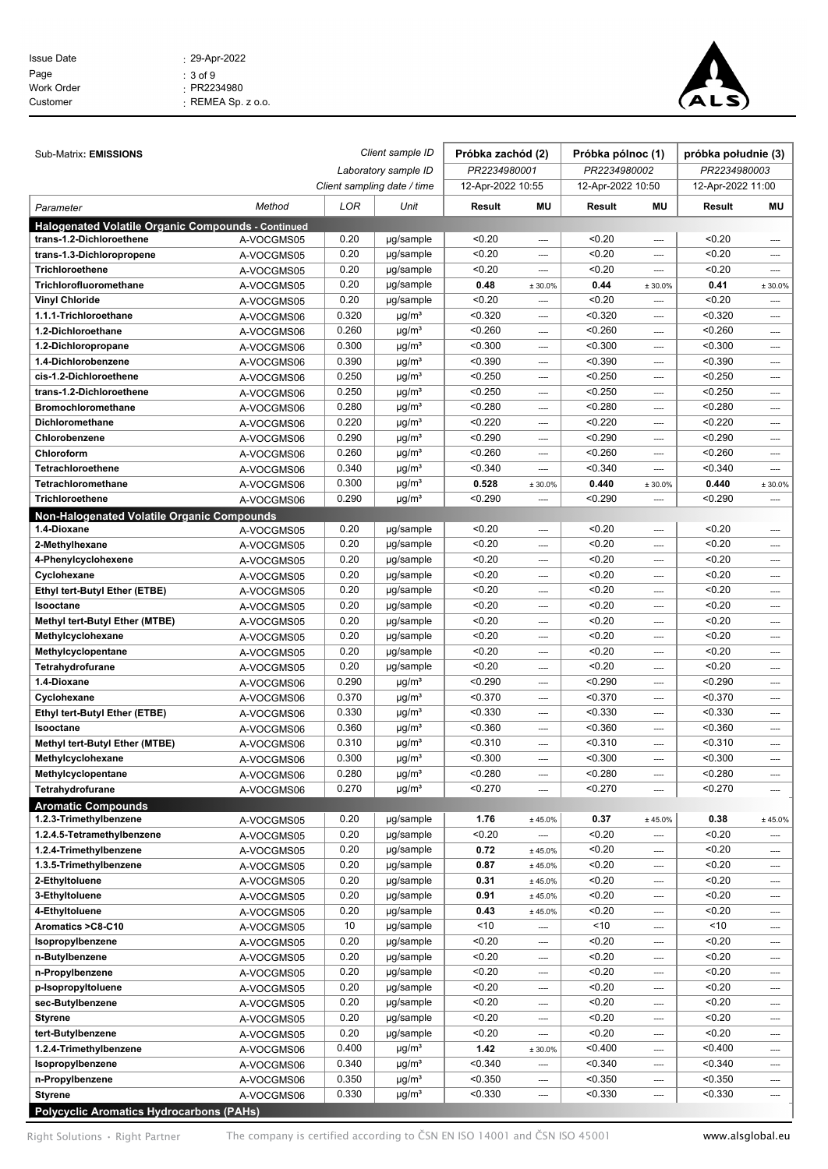| <b>Issue Date</b> | $: 29 - Apr - 2022$      |
|-------------------|--------------------------|
| Page              | $: 3$ of 9               |
| Work Order        | $\cdot$ PR2234980        |
| Customer          | $\cdot$ REMEA Sp. z o.o. |
|                   |                          |



| Sub-Matrix: EMISSIONS                                     |                          | Client sample ID |                                      | Próbka zachód (2) |                          | Próbka pólnoc (1) |                          | próbka południe (3) |              |
|-----------------------------------------------------------|--------------------------|------------------|--------------------------------------|-------------------|--------------------------|-------------------|--------------------------|---------------------|--------------|
|                                                           |                          |                  | Laboratory sample ID<br>PR2234980001 |                   | PR2234980002             |                   | PR2234980003             |                     |              |
|                                                           |                          |                  | Client sampling date / time          | 12-Apr-2022 10:55 |                          | 12-Apr-2022 10:50 |                          | 12-Apr-2022 11:00   |              |
| Parameter                                                 | Method                   | LOR              | Unit                                 | Result            | MU                       | Result            | MU                       | Result              | MU           |
| <b>Halogenated Volatile Organic Compounds - Continued</b> |                          |                  |                                      |                   |                          |                   |                          |                     |              |
| trans-1.2-Dichloroethene                                  | A-VOCGMS05               | 0.20             | µg/sample                            | < 0.20            | ----                     | < 0.20            |                          | < 0.20              | ----         |
| trans-1.3-Dichloropropene                                 | A-VOCGMS05               | 0.20             | µg/sample                            | < 0.20            | ----                     | < 0.20            | ----                     | < 0.20              | ----         |
| Trichloroethene                                           | A-VOCGMS05               | 0.20             | µg/sample                            | < 0.20            | $\overline{\phantom{a}}$ | < 0.20            | ----                     | < 0.20              | ----         |
| Trichlorofluoromethane                                    | A-VOCGMS05               | 0.20             | µg/sample                            | 0.48              | ± 30.0%                  | 0.44              | ± 30.0%                  | 0.41                | ± 30.0%      |
| <b>Vinyl Chloride</b>                                     | A-VOCGMS05               | 0.20             | µg/sample                            | < 0.20            | ----                     | < 0.20            | ----                     | < 0.20              | ----         |
| 1.1.1-Trichloroethane                                     | A-VOCGMS06               | 0.320            | $\mu$ g/m <sup>3</sup>               | < 0.320           | ----                     | < 0.320           | ----                     | < 0.320             | ----         |
| 1.2-Dichloroethane                                        | A-VOCGMS06               | 0.260            | $\mu$ g/m <sup>3</sup>               | < 0.260           | ----                     | < 0.260           | ----                     | < 0.260             | ----         |
| 1.2-Dichloropropane                                       | A-VOCGMS06               | 0.300            | $\mu$ g/m <sup>3</sup>               | < 0.300           | $\cdots$                 | < 0.300           | ----                     | < 0.300             | ----         |
| 1.4-Dichlorobenzene                                       | A-VOCGMS06               | 0.390            | $\mu$ g/m <sup>3</sup>               | < 0.390           | $\cdots$                 | < 0.390           | ----                     | < 0.390             | ----         |
| cis-1.2-Dichloroethene                                    | A-VOCGMS06               | 0.250            | $\mu$ g/m <sup>3</sup>               | < 0.250           | ----                     | < 0.250           | ----                     | < 0.250             | ----         |
| trans-1.2-Dichloroethene                                  | A-VOCGMS06               | 0.250            | $\mu$ g/m <sup>3</sup>               | < 0.250           | ----                     | < 0.250           | ----                     | < 0.250             | ----         |
| <b>Bromochloromethane</b>                                 | A-VOCGMS06               | 0.280            | $\mu$ g/m <sup>3</sup>               | < 0.280           | ----                     | < 0.280           | ----                     | < 0.280             | ----         |
| Dichloromethane                                           | A-VOCGMS06               | 0.220            | $\mu$ g/m <sup>3</sup>               | < 0.220           | ----                     | < 0.220           | ----                     | < 0.220             | ----         |
| Chlorobenzene                                             | A-VOCGMS06               | 0.290            | $\mu$ g/m <sup>3</sup>               | < 0.290           | $\cdots$                 | < 0.290           | ----                     | < 0.290             | ----         |
| Chloroform                                                | A-VOCGMS06               | 0.260            | $\mu$ g/m <sup>3</sup>               | < 0.260           | $\cdots$                 | < 0.260           | ----                     | < 0.260             | ----         |
| Tetrachloroethene                                         | A-VOCGMS06               | 0.340            | $\mu$ g/m <sup>3</sup>               | < 0.340           | ----                     | < 0.340           | ----                     | < 0.340             | ----         |
| Tetrachloromethane                                        | A-VOCGMS06               | 0.300            | $\mu$ g/m <sup>3</sup>               | 0.528             | ± 30.0%                  | 0.440             | ± 30.0%                  | 0.440               | ± 30.0%      |
| <b>Trichloroethene</b>                                    | A-VOCGMS06               | 0.290            | $\mu$ g/m <sup>3</sup>               | < 0.290           |                          | < 0.290           |                          | < 0.290             |              |
| Non-Halogenated Volatile Organic Compounds                |                          |                  |                                      |                   |                          |                   |                          |                     |              |
| 1.4-Dioxane                                               | A-VOCGMS05               | 0.20             | µg/sample                            | < 0.20            | ----                     | < 0.20<br>< 0.20  | ----                     | < 0.20              | ----         |
| 2-Methylhexane                                            | A-VOCGMS05               | 0.20<br>0.20     | µg/sample                            | < 0.20<br>< 0.20  | $---$                    | < 0.20            | ----                     | < 0.20<br>< 0.20    | ----         |
| 4-Phenylcyclohexene                                       | A-VOCGMS05               | 0.20             | µg/sample                            | < 0.20            | ----                     | < 0.20            | ----                     | < 0.20              | ----         |
| Cyclohexane<br>Ethyl tert-Butyl Ether (ETBE)              | A-VOCGMS05               | 0.20             | µg/sample<br>µg/sample               | < 0.20            | ----                     | < 0.20            | ----                     | < 0.20              | ----         |
| Isooctane                                                 | A-VOCGMS05               | 0.20             | µg/sample                            | < 0.20            | ----                     | < 0.20            | ----                     | < 0.20              | ----         |
| Methyl tert-Butyl Ether (MTBE)                            | A-VOCGMS05               | 0.20             | µg/sample                            | < 0.20            | ----<br>----             | < 0.20            | ----<br>----             | < 0.20              | ----<br>---- |
| Methylcyclohexane                                         | A-VOCGMS05<br>A-VOCGMS05 | 0.20             | µg/sample                            | < 0.20            | ----                     | < 0.20            | ----                     | < 0.20              | ----         |
| Methylcyclopentane                                        | A-VOCGMS05               | 0.20             | µg/sample                            | < 0.20            | ----                     | < 0.20            | ----                     | < 0.20              | ----         |
| Tetrahydrofurane                                          | A-VOCGMS05               | 0.20             | µg/sample                            | < 0.20            | ----                     | < 0.20            | ----                     | < 0.20              | ----         |
| 1.4-Dioxane                                               | A-VOCGMS06               | 0.290            | $\mu$ g/m <sup>3</sup>               | < 0.290           | ----                     | < 0.290           | ----                     | < 0.290             | ----         |
| Cyclohexane                                               | A-VOCGMS06               | 0.370            | $\mu$ g/m <sup>3</sup>               | < 0.370           | ----                     | < 0.370           | ----                     | < 0.370             | ----         |
| Ethyl tert-Butyl Ether (ETBE)                             | A-VOCGMS06               | 0.330            | $\mu$ g/m <sup>3</sup>               | < 0.330           | $\cdots$                 | < 0.330           | ----                     | < 0.330             | ----         |
| Isooctane                                                 | A-VOCGMS06               | 0.360            | $\mu$ g/m <sup>3</sup>               | < 0.360           | $\cdots$                 | < 0.360           | ----                     | < 0.360             | ----         |
| Methyl tert-Butyl Ether (MTBE)                            | A-VOCGMS06               | 0.310            | $\mu$ g/m <sup>3</sup>               | < 0.310           | ----                     | < 0.310           | ----                     | < 0.310             | ----         |
| Methylcyclohexane                                         | A-VOCGMS06               | 0.300            | $\mu$ g/m <sup>3</sup>               | < 0.300           | ----                     | < 0.300           | ----                     | < 0.300             | ----         |
| Methylcyclopentane                                        | A-VOCGMS06               | 0.280            | $\mu$ g/m <sup>3</sup>               | < 0.280           | $\overline{\phantom{a}}$ | < 0.280           | $\overline{\phantom{a}}$ | < 0.280             | ----         |
| Tetrahydrofurane                                          | A-VOCGMS06               | 0.270            | $\mu$ g/m <sup>3</sup>               | < 0.270           | ----                     | < 0.270           | ----                     | < 0.270             | ----         |
| <b>Aromatic Compounds</b>                                 |                          |                  |                                      |                   |                          |                   |                          |                     |              |
| 1.2.3-Trimethylbenzene                                    | A-VOCGMS05               | 0.20             | µg/sample                            | 1.76              | ± 45.0%                  | 0.37              | ± 45.0%                  | 0.38                | ± 45.0%      |
| 1.2.4.5-Tetramethylbenzene                                | A-VOCGMS05               | 0.20             | µg/sample                            | < 0.20            | ----                     | < 0.20            | $\overline{\phantom{a}}$ | < 0.20              | ----         |
| 1.2.4-Trimethylbenzene                                    | A-VOCGMS05               | 0.20             | µg/sample                            | 0.72              | ±45.0%                   | < 0.20            |                          | < 0.20              |              |
| 1.3.5-Trimethylbenzene                                    | A-VOCGMS05               | 0.20             | µg/sample                            | 0.87              | ± 45.0%                  | < 0.20            | ----                     | < 0.20              | ----         |
| 2-Ethyltoluene                                            | A-VOCGMS05               | 0.20             | µg/sample                            | 0.31              | ± 45.0%                  | < 0.20            | $\overline{\phantom{a}}$ | < 0.20              | ----         |
| 3-Ethyltoluene                                            | A-VOCGMS05               | 0.20             | µg/sample                            | 0.91              | ± 45.0%                  | < 0.20            | ----                     | < 0.20              | ----         |
| 4-Ethyltoluene                                            | A-VOCGMS05               | 0.20             | µg/sample                            | 0.43              | ± 45.0%                  | < 0.20            | ----                     | < 0.20              | ----         |
| Aromatics > C8-C10                                        | A-VOCGMS05               | 10               | µg/sample                            | ~10               | ----                     | ~10               | $\cdots$                 | ~10                 | ----         |
| Isopropylbenzene                                          | A-VOCGMS05               | 0.20             | µg/sample                            | < 0.20            | ----                     | < 0.20            | ----                     | < 0.20              | ----         |
| n-Butylbenzene                                            | A-VOCGMS05               | 0.20             | µg/sample                            | < 0.20            | ----                     | < 0.20            | ----                     | < 0.20              | ----         |
| n-Propylbenzene                                           | A-VOCGMS05               | 0.20             | µg/sample                            | < 0.20            | $\hspace{0.05cm} \cdots$ | < 0.20            | $\overline{\phantom{a}}$ | < 0.20              | ----         |
| p-IsopropyItoluene                                        | A-VOCGMS05               | 0.20             | µg/sample                            | < 0.20            | ----                     | < 0.20            | ----                     | < 0.20              | ----         |
| sec-Butylbenzene                                          | A-VOCGMS05               | 0.20             | µg/sample                            | < 0.20            | ----                     | < 0.20            | ----                     | < 0.20              | ----         |
| <b>Styrene</b>                                            | A-VOCGMS05               | 0.20             | µg/sample                            | < 0.20            | ----                     | < 0.20            | $\cdots$                 | < 0.20              | ----         |
| tert-Butylbenzene                                         | A-VOCGMS05               | 0.20             | µg/sample                            | < 0.20            | ----                     | < 0.20            | ----                     | < 0.20              | ----         |
| 1.2.4-Trimethylbenzene                                    | A-VOCGMS06               | 0.400            | $\mu$ g/m <sup>3</sup>               | 1.42              | ± 30.0%                  | < 0.400           | ----                     | < 0.400             | ----         |
| Isopropylbenzene                                          | A-VOCGMS06               | 0.340            | $\mu$ g/m <sup>3</sup>               | < 0.340           | ----                     | < 0.340           | $\overline{\phantom{a}}$ | < 0.340             | ----         |
| n-Propylbenzene                                           | A-VOCGMS06               | 0.350            | $\mu$ g/m <sup>3</sup>               | < 0.350           | $\hspace{0.05cm} \cdots$ | < 0.350           | $\hspace{0.05cm} \cdots$ | < 0.350             | ----         |
| <b>Styrene</b>                                            | A-VOCGMS06               | 0.330            | $\mu$ g/m <sup>3</sup>               | < 0.330           | $\overline{\phantom{a}}$ | < 0.330           | ----                     | < 0.330             | ----         |
| Polycyclic Aromatics Hydrocarbons (PAHs)                  |                          |                  |                                      |                   |                          |                   |                          |                     |              |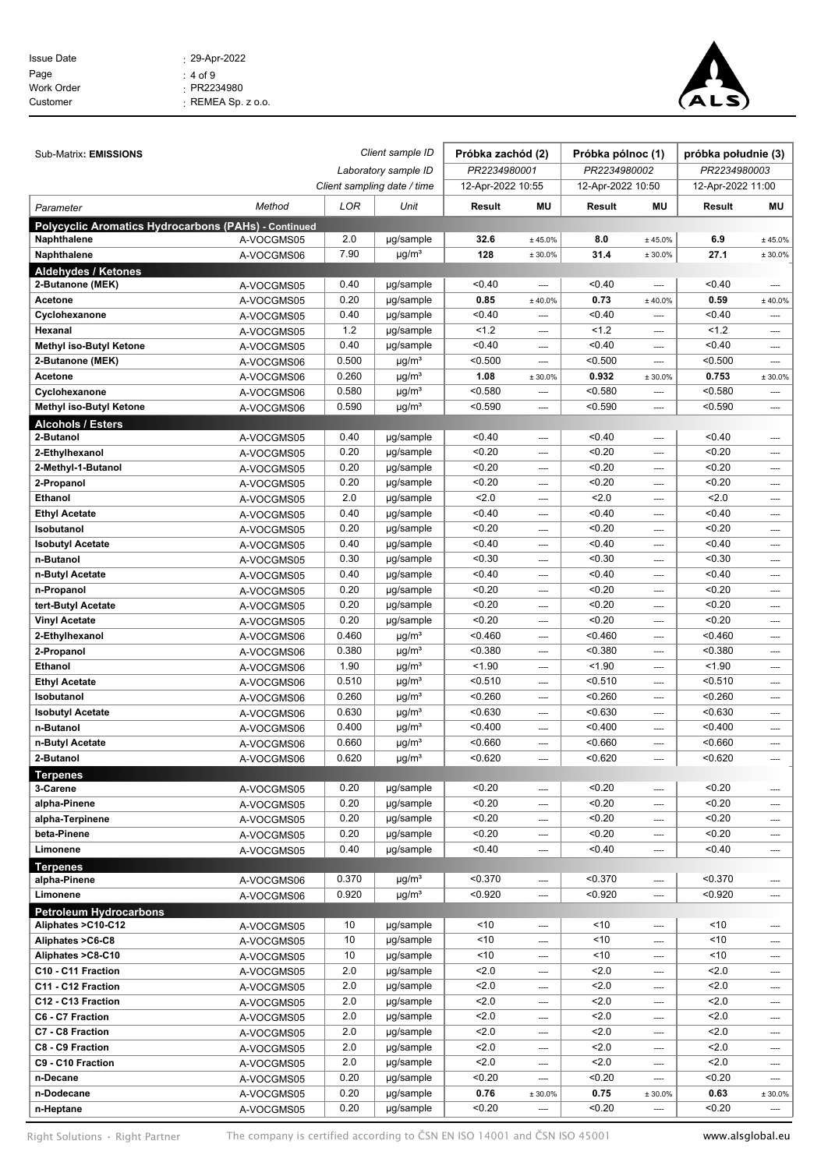| $: 29 - Apr - 2022$      |
|--------------------------|
| : 4 of 9                 |
| $\cdot$ PR2234980        |
| $\cdot$ REMEA Sp. z o.o. |
|                          |



| Sub-Matrix: EMISSIONS                                |                          |                                                     | Client sample ID                                 | Próbka zachód (2)  |         | Próbka pólnoc (1)  |         | próbka południe (3) |                          |
|------------------------------------------------------|--------------------------|-----------------------------------------------------|--------------------------------------------------|--------------------|---------|--------------------|---------|---------------------|--------------------------|
|                                                      |                          | Laboratory sample ID<br>Client sampling date / time |                                                  | PR2234980001       |         | PR2234980002       |         | PR2234980003        |                          |
|                                                      |                          |                                                     |                                                  | 12-Apr-2022 10:55  |         | 12-Apr-2022 10:50  |         | 12-Apr-2022 11:00   |                          |
| Parameter                                            | Method                   | LOR                                                 | Unit                                             | Result             | MU      | Result             | MU      | Result              | ΜU                       |
| Polycyclic Aromatics Hydrocarbons (PAHs) - Continued |                          |                                                     |                                                  |                    |         |                    |         |                     |                          |
| Naphthalene                                          | A-VOCGMS05               | 2.0                                                 | µg/sample                                        | 32.6               | ± 45.0% | 8.0                | ± 45.0% | 6.9                 | ± 45.0%                  |
| Naphthalene                                          | A-VOCGMS06               | 7.90                                                | $\mu$ g/m <sup>3</sup>                           | 128                | ± 30.0% | 31.4               | ± 30.0% | 27.1                | ± 30.0%                  |
| <b>Aldehydes / Ketones</b>                           |                          |                                                     |                                                  |                    |         |                    |         |                     |                          |
| 2-Butanone (MEK)                                     | A-VOCGMS05               | 0.40                                                | µg/sample                                        | < 0.40             | ----    | < 0.40             | ----    | < 0.40              |                          |
| Acetone                                              | A-VOCGMS05               | 0.20                                                | µg/sample                                        | 0.85               | ± 40.0% | 0.73               | ± 40.0% | 0.59                | ± 40.0%                  |
| Cyclohexanone                                        | A-VOCGMS05               | 0.40                                                | µg/sample                                        | < 0.40             |         | < 0.40             |         | < 0.40              |                          |
| Hexanal                                              | A-VOCGMS05               | 1.2                                                 | µg/sample                                        | 1.2                | ----    | 1.2                |         | 1.2                 | ----                     |
| Methyl iso-Butyl Ketone                              | A-VOCGMS05               | 0.40                                                | µg/sample                                        | < 0.40             | ----    | < 0.40             | ----    | < 0.40              | $\overline{\phantom{a}}$ |
| 2-Butanone (MEK)                                     | A-VOCGMS06               | 0.500                                               | $\mu$ g/m <sup>3</sup>                           | < 0.500            | ----    | < 0.500            | ----    | < 0.500             | ----                     |
| Acetone                                              | A-VOCGMS06               | 0.260                                               | $\mu$ g/m <sup>3</sup>                           | 1.08               | ± 30.0% | 0.932              | ± 30.0% | 0.753               | ± 30.0%                  |
| Cyclohexanone                                        | A-VOCGMS06               | 0.580                                               | $\mu$ g/m <sup>3</sup>                           | < 0.580            | ----    | < 0.580            | ----    | < 0.580             | ----                     |
| Methyl iso-Butyl Ketone                              | A-VOCGMS06               | 0.590                                               | $\mu$ g/m <sup>3</sup>                           | < 0.590            |         | < 0.590            |         | < 0.590             | ----                     |
| <b>Alcohols / Esters</b>                             |                          |                                                     |                                                  |                    |         |                    |         |                     |                          |
| 2-Butanol                                            | A-VOCGMS05               | 0.40                                                | µg/sample                                        | < 0.40             | ----    | < 0.40             | ----    | < 0.40              | $---$                    |
| 2-Ethylhexanol                                       | A-VOCGMS05               | 0.20                                                | µg/sample                                        | < 0.20             | ----    | < 0.20             | ----    | < 0.20              | ----                     |
| 2-Methyl-1-Butanol                                   | A-VOCGMS05               | 0.20                                                | µg/sample                                        | < 0.20             | ----    | < 0.20             | ----    | < 0.20              | ----                     |
| 2-Propanol                                           | A-VOCGMS05               | 0.20                                                | µg/sample                                        | < 0.20             | ----    | < 0.20             | ----    | < 0.20              | ----                     |
| Ethanol                                              | A-VOCGMS05               | 2.0                                                 | µg/sample                                        | 2.0                | ----    | 2.0                | ----    | 2.0                 | ----                     |
| <b>Ethyl Acetate</b>                                 | A-VOCGMS05               | 0.40                                                | µg/sample                                        | < 0.40             | ----    | < 0.40             | ----    | < 0.40              | ----                     |
| Isobutanol                                           | A-VOCGMS05               | 0.20                                                | µg/sample                                        | < 0.20             | ----    | < 0.20             | ----    | < 0.20              | ----                     |
| <b>Isobutyl Acetate</b>                              | A-VOCGMS05               | 0.40                                                | µg/sample                                        | < 0.40             | ----    | < 0.40             | ----    | < 0.40              | ----                     |
| n-Butanol                                            | A-VOCGMS05               | 0.30                                                | µg/sample                                        | < 0.30             | ----    | < 0.30             | ----    | < 0.30              | ----                     |
| n-Butyl Acetate                                      | A-VOCGMS05               | 0.40                                                | µg/sample                                        | < 0.40             | ----    | < 0.40             | ----    | < 0.40              | $---$                    |
| n-Propanol                                           | A-VOCGMS05               | 0.20                                                | µg/sample                                        | < 0.20             |         | < 0.20             | ----    | < 0.20              | ----                     |
| tert-Butyl Acetate                                   | A-VOCGMS05               | 0.20                                                | µg/sample                                        | < 0.20             | ----    | < 0.20             | ----    | < 0.20              | ----                     |
| <b>Vinyl Acetate</b>                                 | A-VOCGMS05               | 0.20                                                | µg/sample                                        | < 0.20             | ----    | < 0.20             | ----    | < 0.20              | ----                     |
| 2-Ethylhexanol                                       | A-VOCGMS06               | 0.460                                               | $\mu$ g/m <sup>3</sup>                           | < 0.460            | ----    | < 0.460            | ----    | < 0.460             | ----                     |
| 2-Propanol                                           | A-VOCGMS06               | 0.380                                               | $\mu$ g/m <sup>3</sup>                           | < 0.380            | ----    | < 0.380            | ----    | < 0.380             | ----                     |
| <b>Ethanol</b>                                       | A-VOCGMS06               | 1.90                                                | $\mu$ g/m <sup>3</sup>                           | < 1.90             | ----    | < 1.90             | ----    | < 1.90              | ----                     |
| <b>Ethyl Acetate</b>                                 | A-VOCGMS06               | 0.510                                               | $\mu$ g/m <sup>3</sup>                           | < 0.510            | ----    | < 0.510            | ----    | < 0.510             | ----                     |
| Isobutanol                                           | A-VOCGMS06               | 0.260                                               | $\mu$ g/m <sup>3</sup>                           | < 0.260            | ----    | < 0.260            | ----    | < 0.260             | ----                     |
| <b>Isobutyl Acetate</b>                              | A-VOCGMS06               | 0.630                                               | $\mu$ g/m <sup>3</sup>                           | < 0.630            | ----    | < 0.630            | ----    | < 0.630             | ----                     |
| n-Butanol                                            | A-VOCGMS06               | 0.400                                               | $\mu$ g/m <sup>3</sup>                           | < 0.400            | ----    | < 0.400            | ----    | < 0.400             | ----                     |
| n-Butyl Acetate                                      | A-VOCGMS06               | 0.660<br>0.620                                      | $\mu$ g/m <sup>3</sup><br>$\mu$ g/m <sup>3</sup> | < 0.660<br>< 0.620 | ----    | < 0.660<br>< 0.620 | ----    | < 0.660<br>< 0.620  | ----                     |
| 2-Butanol                                            | A-VOCGMS06               |                                                     |                                                  |                    | ----    |                    | ----    |                     | ----                     |
| <b>Terpenes</b><br>3-Carene                          |                          | 0.20                                                | µg/sample                                        | < 0.20             | ----    | < 0.20             | ----    | < 0.20              | ----                     |
| alpha-Pinene                                         | A-VOCGMS05<br>A-VOCGMS05 | 0.20                                                | µg/sample                                        | < 0.20             | ----    | < 0.20             | ----    | < 0.20              | $\cdots$                 |
| alpha-Terpinene                                      | A-VOCGMS05               | 0.20                                                | µg/sample                                        | < 0.20             | ----    | < 0.20             | ----    | < 0.20              | $\hspace{0.05cm} \cdots$ |
| beta-Pinene                                          | A-VOCGMS05               | 0.20                                                | µg/sample                                        | < 0.20             | ----    | < 0.20             | ----    | < 0.20              | ----                     |
| Limonene                                             | A-VOCGMS05               | 0.40                                                | µg/sample                                        | < 0.40             | ----    | < 0.40             | ----    | < 0.40              | $\cdots$                 |
| <b>Terpenes</b>                                      |                          |                                                     |                                                  |                    |         |                    |         |                     |                          |
| alpha-Pinene                                         | A-VOCGMS06               | 0.370                                               | $\mu$ g/m <sup>3</sup>                           | < 0.370            | ----    | < 0.370            | ----    | < 0.370             | ----                     |
| Limonene                                             | A-VOCGMS06               | 0.920                                               | $\mu$ g/m <sup>3</sup>                           | < 0.920            | ----    | < 0.920            | ----    | < 0.920             | $\cdots$                 |
| <b>Petroleum Hydrocarbons</b>                        |                          |                                                     |                                                  |                    |         |                    |         |                     |                          |
| Aliphates >C10-C12                                   | A-VOCGMS05               | 10                                                  | µg/sample                                        | ~10                | ----    | < 10               | ----    | ~10                 | $---$                    |
| Aliphates >C6-C8                                     | A-VOCGMS05               | 10                                                  | µg/sample                                        | ~10                | ----    | < 10               | ----    | ~10                 | ----                     |
| Aliphates >C8-C10                                    | A-VOCGMS05               | 10                                                  | µg/sample                                        | ~10                | ----    | < 10               | ----    | ~10                 | $\cdots$                 |
| C10 - C11 Fraction                                   | A-VOCGMS05               | 2.0                                                 | µg/sample                                        | 2.0                | ----    | 2.0                | ----    | 2.0                 | $\overline{\phantom{a}}$ |
| C11 - C12 Fraction                                   | A-VOCGMS05               | 2.0                                                 | µg/sample                                        | 2.0                | ----    | 2.0                | ----    | 2.0                 | $\hspace{0.05cm} \cdots$ |
| C12 - C13 Fraction                                   | A-VOCGMS05               | 2.0                                                 | µg/sample                                        | 2.0                | ----    | 2.0                | ----    | 2.0                 | $\cdots$                 |
| C6 - C7 Fraction                                     | A-VOCGMS05               | 2.0                                                 | µg/sample                                        | 2.0                | ----    | 2.0                | ----    | 2.0                 | $\cdots$                 |
| C7 - C8 Fraction                                     | A-VOCGMS05               | 2.0                                                 | µg/sample                                        | 2.0                | ----    | 2.0                | ----    | 2.0                 | ----                     |
| C8 - C9 Fraction                                     | A-VOCGMS05               | 2.0                                                 | $\overline{\mu g}$ /sample                       | 2.0                | ----    | 2.0                | ----    | 2.0                 | $\cdots$                 |
| C9 - C10 Fraction                                    | A-VOCGMS05               | 2.0                                                 | µg/sample                                        | 2.0                | ----    | 2.0                | ----    | 2.0                 | $\overline{\phantom{a}}$ |
| n-Decane                                             | A-VOCGMS05               | 0.20                                                | µg/sample                                        | < 0.20             | ----    | < 0.20             | ----    | < 0.20              | $\cdots$                 |
| n-Dodecane                                           | A-VOCGMS05               | 0.20                                                | µg/sample                                        | 0.76               | ± 30.0% | 0.75               | ± 30.0% | 0.63                | ± 30.0%                  |
| n-Heptane                                            | A-VOCGMS05               | 0.20                                                | µg/sample                                        | < 0.20             |         | < 0.20             | ----    | < 0.20              | ----                     |

Right Solutions • Right Partner The company is certified according to CSN EN ISO 14001 and CSN ISO 45001 www.alsglobal.eu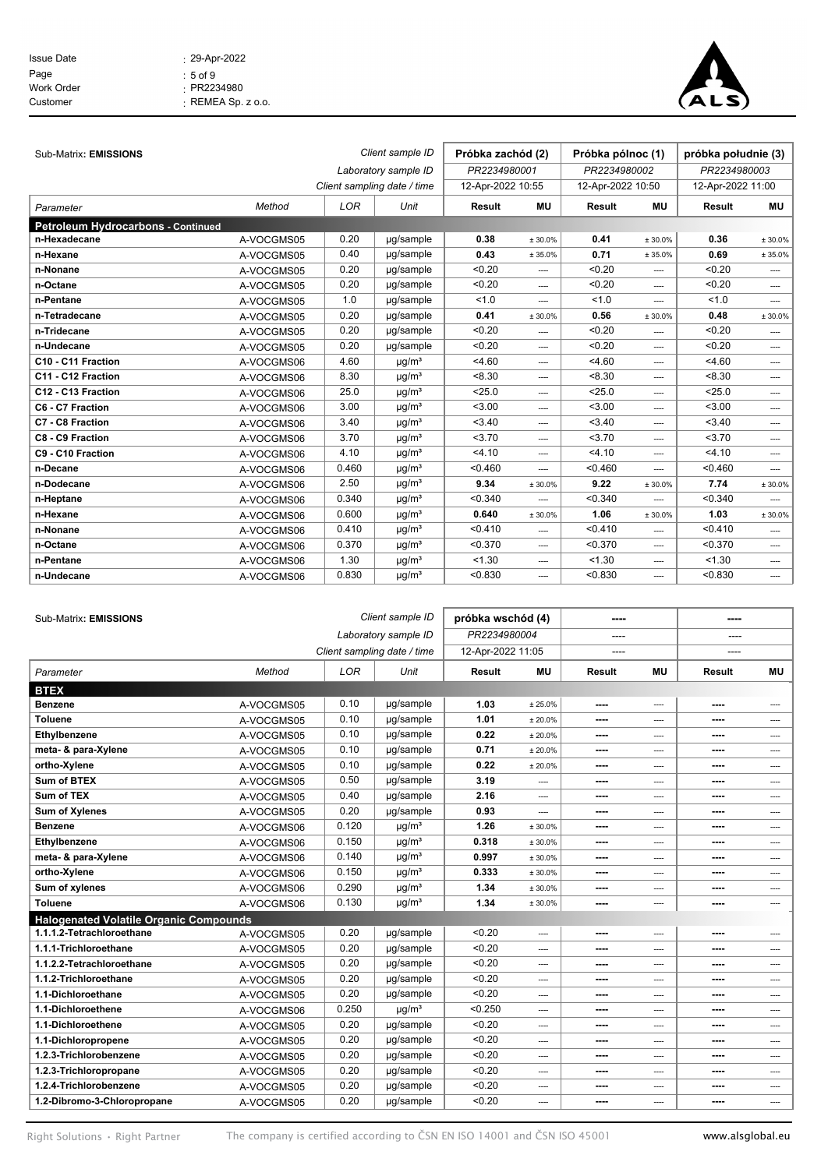| <b>Issue Date</b> | $: 29 - Apr - 2022$      |
|-------------------|--------------------------|
| Page              | $:5$ of $9$              |
| Work Order        | $\cdot$ PR2234980        |
| Customer          | $\cdot$ REMEA Sp. z o.o. |
|                   |                          |



| Sub-Matrix: EMISSIONS                     |            |       | Client sample ID            | Próbka zachód (2) |            | Próbka pólnoc (1) |           | próbka południe (3) |          |
|-------------------------------------------|------------|-------|-----------------------------|-------------------|------------|-------------------|-----------|---------------------|----------|
|                                           |            |       | Laboratory sample ID        | PR2234980001      |            | PR2234980002      |           | PR2234980003        |          |
|                                           |            |       | Client sampling date / time | 12-Apr-2022 10:55 |            | 12-Apr-2022 10:50 |           | 12-Apr-2022 11:00   |          |
|                                           |            |       |                             |                   |            |                   |           |                     |          |
| Parameter                                 | Method     | LOR   | Unit                        | <b>Result</b>     | <b>MU</b>  | <b>Result</b>     | <b>MU</b> | Result              | MU       |
| <b>Petroleum Hydrocarbons - Continued</b> |            |       |                             |                   |            |                   |           |                     |          |
| n-Hexadecane                              | A-VOCGMS05 | 0.20  | µq/sample                   | 0.38              | $± 30.0\%$ | 0.41              | ± 30.0%   | 0.36                | ± 30.0%  |
| n-Hexane                                  | A-VOCGMS05 | 0.40  | µq/sample                   | 0.43              | ± 35.0%    | 0.71              | ± 35.0%   | 0.69                | ± 35.0%  |
| n-Nonane                                  | A-VOCGMS05 | 0.20  | µg/sample                   | < 0.20            | ----       | < 0.20            | ----      | < 0.20              | ----     |
| n-Octane                                  | A-VOCGMS05 | 0.20  | µg/sample                   | < 0.20            | ----       | < 0.20            | ----      | < 0.20              | ----     |
| n-Pentane                                 | A-VOCGMS05 | 1.0   | µg/sample                   | 1.0               | ----       | 1.0               | ----      | 1.0                 | ----     |
| n-Tetradecane                             | A-VOCGMS05 | 0.20  | µq/sample                   | 0.41              | ± 30.0%    | 0.56              | ± 30.0%   | 0.48                | ± 30.0%  |
| n-Tridecane                               | A-VOCGMS05 | 0.20  | µq/sample                   | < 0.20            | ----       | < 0.20            | ----      | < 0.20              | ----     |
| n-Undecane                                | A-VOCGMS05 | 0.20  | µq/sample                   | < 0.20            | ----       | < 0.20            | ----      | < 0.20              | ----     |
| C10 - C11 Fraction                        | A-VOCGMS06 | 4.60  | $\mu$ g/m <sup>3</sup>      | 4.60              | ----       | < 4.60            | ----      | < 4.60              | ----     |
| C11 - C12 Fraction                        | A-VOCGMS06 | 8.30  | $\mu$ g/m <sup>3</sup>      | < 8.30            | ----       | < 8.30            | ----      | < 8.30              | ----     |
| C12 - C13 Fraction                        | A-VOCGMS06 | 25.0  | $\mu$ g/m <sup>3</sup>      | < 25.0            | ----       | < 25.0            | ----      | < 25.0              | ----     |
| C6 - C7 Fraction                          | A-VOCGMS06 | 3.00  | $\mu$ g/m <sup>3</sup>      | < 3.00            | ----       | < 3.00            | ----      | < 3.00              | ----     |
| C7 - C8 Fraction                          | A-VOCGMS06 | 3.40  | $\mu$ g/m <sup>3</sup>      | 3.40              | ----       | 3.40              | ----      | 3.40                | ----     |
| C8 - C9 Fraction                          | A-VOCGMS06 | 3.70  | $\mu$ g/m <sup>3</sup>      | 3.70              | ----       | 3.70              | ----      | < 3.70              | ----     |
| C9 - C10 Fraction                         | A-VOCGMS06 | 4.10  | $\mu$ g/m <sup>3</sup>      | < 4.10            | ----       | 4.10              | ----      | < 4.10              | ----     |
| n-Decane                                  | A-VOCGMS06 | 0.460 | $\mu$ g/m <sup>3</sup>      | < 0.460           | ----       | < 0.460           | ----      | < 0.460             | ----     |
| n-Dodecane                                | A-VOCGMS06 | 2.50  | $\mu$ g/m <sup>3</sup>      | 9.34              | ± 30.0%    | 9.22              | ± 30.0%   | 7.74                | ± 30.0%  |
| n-Heptane                                 | A-VOCGMS06 | 0.340 | $\mu$ g/m <sup>3</sup>      | < 0.340           | ----       | < 0.340           | ----      | < 0.340             | ----     |
| n-Hexane                                  | A-VOCGMS06 | 0.600 | $\mu$ g/m <sup>3</sup>      | 0.640             | ± 30.0%    | 1.06              | ± 30.0%   | 1.03                | ± 30.0%  |
| n-Nonane                                  | A-VOCGMS06 | 0.410 | $\mu$ g/m <sup>3</sup>      | < 0.410           | ----       | < 0.410           | ----      | < 0.410             | $---$    |
| n-Octane                                  | A-VOCGMS06 | 0.370 | $\mu$ g/m <sup>3</sup>      | < 0.370           | ----       | < 0.370           | ----      | < 0.370             | ----     |
| n-Pentane                                 | A-VOCGMS06 | 1.30  | $\mu$ g/m <sup>3</sup>      | < 1.30            | ----       | < 1.30            | ----      | < 1.30              | $\cdots$ |
| n-Undecane                                | A-VOCGMS06 | 0.830 | $\mu$ g/m <sup>3</sup>      | < 0.830           | $---$      | < 0.830           | $---$     | < 0.830             | ----     |

| Sub-Matrix: EMISSIONS                         |            |       | Client sample ID            | próbka wschód (4) |           | ----          |                | ----   |       |
|-----------------------------------------------|------------|-------|-----------------------------|-------------------|-----------|---------------|----------------|--------|-------|
|                                               |            |       | Laboratory sample ID        | PR2234980004      |           | ----          |                | ----   |       |
|                                               |            |       | Client sampling date / time | 12-Apr-2022 11:05 |           |               |                |        |       |
| Parameter                                     | Method     | LOR   | Unit                        | <b>Result</b>     | <b>MU</b> | <b>Result</b> | <b>MU</b>      | Result | МU    |
| <b>BTEX</b>                                   |            |       |                             |                   |           |               |                |        |       |
| <b>Benzene</b>                                | A-VOCGMS05 | 0.10  | µg/sample                   | 1.03              | ± 25.0%   | ----          | ----           | ----   | ----  |
| <b>Toluene</b>                                | A-VOCGMS05 | 0.10  | µg/sample                   | 1.01              | ± 20.0%   | ----          | ----           | ----   | ----  |
| Ethylbenzene                                  | A-VOCGMS05 | 0.10  | µg/sample                   | 0.22              | ± 20.0%   | ----          | ----           | ----   | ----  |
| meta- & para-Xylene                           | A-VOCGMS05 | 0.10  | µg/sample                   | 0.71              | ± 20.0%   | ----          | ----           | ----   | ----  |
| ortho-Xylene                                  | A-VOCGMS05 | 0.10  | µg/sample                   | 0.22              | ± 20.0%   | ----          | ----           | ----   | ----  |
| <b>Sum of BTEX</b>                            | A-VOCGMS05 | 0.50  | µg/sample                   | 3.19              | ----      | ----          | $\overline{a}$ | ----   | $---$ |
| Sum of TEX                                    | A-VOCGMS05 | 0.40  | µg/sample                   | 2.16              | ----      | ----          | ----           | ----   | ----  |
| <b>Sum of Xylenes</b>                         | A-VOCGMS05 | 0.20  | µg/sample                   | 0.93              | ----      | ----          | ----           | ----   | ----  |
| <b>Benzene</b>                                | A-VOCGMS06 | 0.120 | $\mu$ g/m <sup>3</sup>      | 1.26              | ± 30.0%   | ----          | ----           | ----   | ----  |
| Ethylbenzene                                  | A-VOCGMS06 | 0.150 | $\mu$ g/m <sup>3</sup>      | 0.318             | ± 30.0%   | ----          | ----           | ----   | ----  |
| meta- & para-Xylene                           | A-VOCGMS06 | 0.140 | $\mu$ g/m <sup>3</sup>      | 0.997             | ± 30.0%   | ----          | ----           | ----   | ----  |
| ortho-Xylene                                  | A-VOCGMS06 | 0.150 | $\mu$ g/m <sup>3</sup>      | 0.333             | ± 30.0%   | ----          | ----           | ----   | ----  |
| Sum of xylenes                                | A-VOCGMS06 | 0.290 | $\mu$ g/m <sup>3</sup>      | 1.34              | ± 30.0%   | ----          | ----           | ----   | ----  |
| <b>Toluene</b>                                | A-VOCGMS06 | 0.130 | $\mu$ g/m <sup>3</sup>      | 1.34              | ± 30.0%   | ----          | ----           | ----   | ----  |
| <b>Halogenated Volatile Organic Compounds</b> |            |       |                             |                   |           |               |                |        |       |
| 1.1.1.2-Tetrachloroethane                     | A-VOCGMS05 | 0.20  | µg/sample                   | < 0.20            | ----      | ----          | ----           | ----   | ----  |
| 1.1.1-Trichloroethane                         | A-VOCGMS05 | 0.20  | µg/sample                   | < 0.20            | $---$     | ----          | $---$          | ----   | ----  |
| 1.1.2.2-Tetrachloroethane                     | A-VOCGMS05 | 0.20  | µg/sample                   | < 0.20            | ----      | ----          | ----           | ----   | ----  |
| 1.1.2-Trichloroethane                         | A-VOCGMS05 | 0.20  | µg/sample                   | < 0.20            | ----      | ----          | ----           | ----   | ----  |
| 1.1-Dichloroethane                            | A-VOCGMS05 | 0.20  | µg/sample                   | < 0.20            | ----      | ----          | ----           | ----   | ----  |
| 1.1-Dichloroethene                            | A-VOCGMS06 | 0.250 | $\mu$ g/m <sup>3</sup>      | < 0.250           | ----      | ----          | ----           | ----   | ----  |
| 1.1-Dichloroethene                            | A-VOCGMS05 | 0.20  | µg/sample                   | < 0.20            | ----      | ----          | ----           | ----   | ----  |
| 1.1-Dichloropropene                           | A-VOCGMS05 | 0.20  | µg/sample                   | < 0.20            | ----      | ----          | $---$          | ----   | ----  |
| 1.2.3-Trichlorobenzene                        | A-VOCGMS05 | 0.20  | µg/sample                   | < 0.20            | ----      | ----          | ----           | ----   | ----  |
| 1.2.3-Trichloropropane                        | A-VOCGMS05 | 0.20  | µg/sample                   | < 0.20            | ----      | ----          | ----           | ----   | ----  |
| 1.2.4-Trichlorobenzene                        | A-VOCGMS05 | 0.20  | µg/sample                   | < 0.20            | ----      | ----          | $---$          | ----   | $---$ |
| 1.2-Dibromo-3-Chloropropane                   | A-VOCGMS05 | 0.20  | µg/sample                   | < 0.20            | ----      | ----          | ----           | ----   | ----  |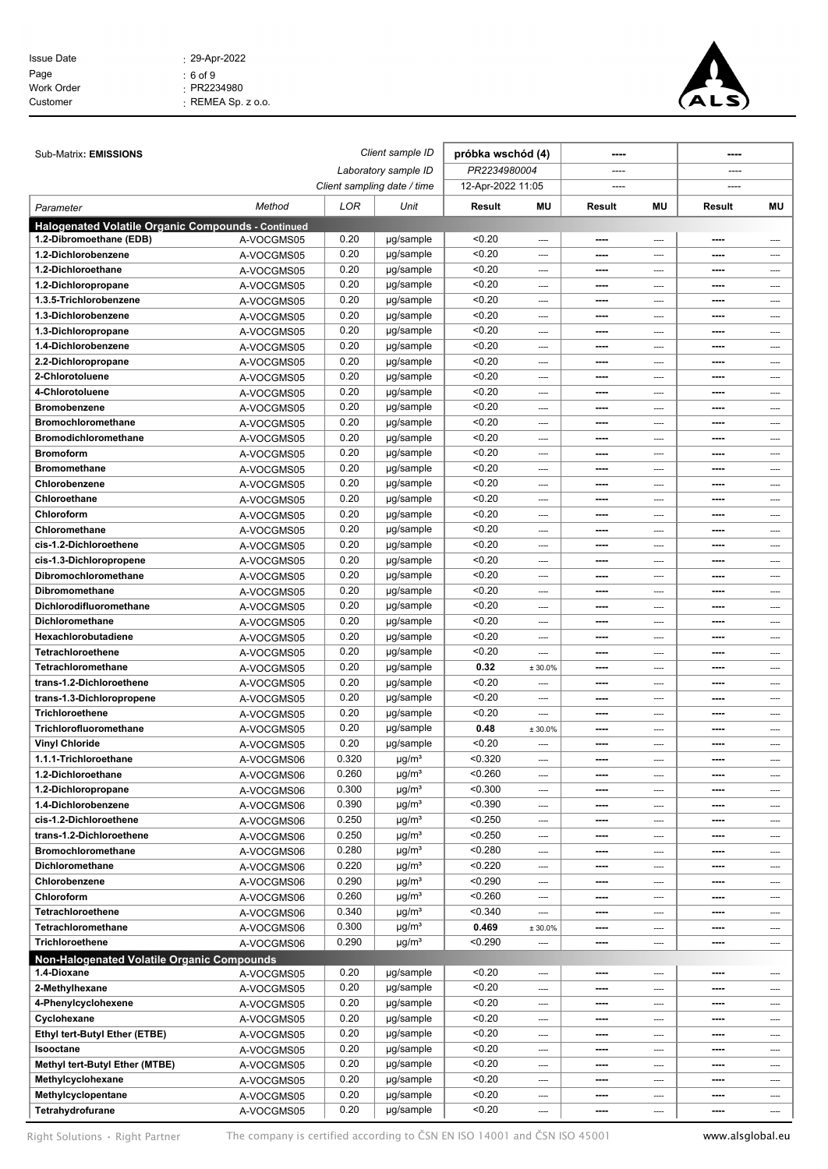| <b>Issue Date</b> | $: 29 - Apr - 2022$      |
|-------------------|--------------------------|
| Page              | : 6 of 9                 |
| Work Order        | $\cdot$ PR2234980        |
| Customer          | $\cdot$ REMEA Sp. z o.o. |
|                   |                          |



| Sub-Matrix: EMISSIONS                                                         |            |                      | Client sample ID            | próbka wschód (4) |         | ----                     |      |              |          |
|-------------------------------------------------------------------------------|------------|----------------------|-----------------------------|-------------------|---------|--------------------------|------|--------------|----------|
|                                                                               |            | Laboratory sample ID |                             | PR2234980004      |         | ----                     |      |              |          |
|                                                                               |            |                      | Client sampling date / time | 12-Apr-2022 11:05 |         |                          |      |              |          |
|                                                                               |            |                      |                             |                   |         |                          |      |              |          |
| Parameter                                                                     | Method     | LOR                  | Unit                        | Result            | MU      | Result                   | MU   | Result       | ΜU       |
| Halogenated Volatile Organic Compounds - Continued<br>1.2-Dibromoethane (EDB) |            | 0.20                 | µg/sample                   | < 0.20            |         | ----                     |      |              |          |
| 1.2-Dichlorobenzene                                                           | A-VOCGMS05 | 0.20                 | µg/sample                   | < 0.20            | ----    | ----                     | ---- | ----<br>---- |          |
| 1.2-Dichloroethane                                                            | A-VOCGMS05 | 0.20                 | µg/sample                   | < 0.20            | ----    |                          | ---- |              | ----     |
|                                                                               | A-VOCGMS05 | 0.20                 |                             | < 0.20            | ----    | ----                     | ---- | ----         | ----     |
| 1.2-Dichloropropane                                                           | A-VOCGMS05 |                      | µg/sample                   | < 0.20            | ----    | $- - - -$                | ---- | ----         | ----     |
| 1.3.5-Trichlorobenzene                                                        | A-VOCGMS05 | 0.20<br>0.20         | µg/sample                   |                   | ----    | ----                     | ---- | ----         | ----     |
| 1.3-Dichlorobenzene                                                           | A-VOCGMS05 | 0.20                 | µg/sample                   | < 0.20            | ----    | ----                     | ---- | ----         | ----     |
| 1.3-Dichloropropane                                                           | A-VOCGMS05 |                      | µg/sample                   | < 0.20            | ----    | $\overline{\phantom{a}}$ | ---- | ----         | ----     |
| 1.4-Dichlorobenzene                                                           | A-VOCGMS05 | 0.20                 | µg/sample                   | < 0.20            | ----    | ----                     | ---- | ----         | ----     |
| 2.2-Dichloropropane                                                           | A-VOCGMS05 | 0.20                 | µg/sample                   | < 0.20            | $---$   | ----                     | ---- | ----         | ----     |
| 2-Chlorotoluene                                                               | A-VOCGMS05 | 0.20                 | µg/sample                   | < 0.20            | ----    | $- - - -$                | ---- | ----         | ----     |
| 4-Chlorotoluene                                                               | A-VOCGMS05 | 0.20                 | µg/sample                   | < 0.20            | ----    | ----                     | ---- | ----         | ----     |
| <b>Bromobenzene</b>                                                           | A-VOCGMS05 | 0.20                 | µg/sample                   | < 0.20            | $---$   | ----                     | ---- | ----         | ----     |
| <b>Bromochloromethane</b>                                                     | A-VOCGMS05 | 0.20                 | µg/sample                   | < 0.20            | ----    | ----                     | ---- | ----         | ----     |
| <b>Bromodichloromethane</b>                                                   | A-VOCGMS05 | 0.20                 | µg/sample                   | < 0.20            | ----    | ----                     | ---- | ----         | ----     |
| <b>Bromoform</b>                                                              | A-VOCGMS05 | 0.20                 | µg/sample                   | < 0.20            | ----    | ----                     | ---- | ----         | ----     |
| <b>Bromomethane</b>                                                           | A-VOCGMS05 | 0.20                 | µg/sample                   | < 0.20            | ----    | $- - - -$                | ---- | ----         | ----     |
| Chlorobenzene                                                                 | A-VOCGMS05 | 0.20                 | µg/sample                   | < 0.20            | ----    | ----                     | ---- | ----         | ----     |
| Chloroethane                                                                  | A-VOCGMS05 | 0.20                 | µg/sample                   | < 0.20            | ----    | ----                     | ---- | ----         | ----     |
| Chloroform                                                                    | A-VOCGMS05 | 0.20                 | µg/sample                   | < 0.20            | ----    | $\overline{\phantom{a}}$ | ---- | ----         | ----     |
| Chloromethane                                                                 | A-VOCGMS05 | 0.20                 | µg/sample                   | < 0.20            | ----    | ----                     | ---- | ----         | ----     |
| cis-1.2-Dichloroethene                                                        | A-VOCGMS05 | 0.20                 | µg/sample                   | < 0.20            | ----    | ----                     | ---- | ----         | ----     |
| cis-1.3-Dichloropropene                                                       | A-VOCGMS05 | 0.20                 | µg/sample                   | < 0.20            | ----    | ----                     | ---- | ----         | ----     |
| Dibromochloromethane                                                          | A-VOCGMS05 | 0.20                 | µg/sample                   | < 0.20            | ----    |                          | ---- | ----         | ----     |
| <b>Dibromomethane</b>                                                         | A-VOCGMS05 | 0.20                 | µg/sample                   | < 0.20            | $---$   | ----                     | ---- | ----         | ----     |
| Dichlorodifluoromethane                                                       | A-VOCGMS05 | 0.20                 | µg/sample                   | < 0.20            | ----    | ----                     | ---- | ----         | $\cdots$ |
| Dichloromethane                                                               | A-VOCGMS05 | 0.20                 | µg/sample                   | < 0.20            | ----    | ----                     | ---- | ----         | ----     |
| Hexachlorobutadiene                                                           | A-VOCGMS05 | 0.20                 | µg/sample                   | < 0.20            | $---$   | ----                     | ---- | ----         | ----     |
| Tetrachloroethene                                                             | A-VOCGMS05 | 0.20                 | µg/sample                   | < 0.20            | ----    | $- - - -$                | ---- | ----         | ----     |
| Tetrachloromethane                                                            | A-VOCGMS05 | 0.20                 | µg/sample                   | 0.32              | ± 30.0% | ----                     | ---- | ----         | ----     |
| trans-1.2-Dichloroethene                                                      | A-VOCGMS05 | 0.20                 | µg/sample                   | < 0.20            | ----    | ----                     | ---- | ----         | ----     |
| trans-1.3-Dichloropropene                                                     | A-VOCGMS05 | 0.20                 | µg/sample                   | < 0.20            | ----    | $\overline{\phantom{a}}$ | ---- | ----         | ----     |
| Trichloroethene                                                               | A-VOCGMS05 | 0.20                 | µg/sample                   | < 0.20            | ----    | ----                     | ---- | ----         | ----     |
| Trichlorofluoromethane                                                        | A-VOCGMS05 | 0.20                 | µg/sample                   | 0.48              | ± 30.0% | ----                     | ---- | ----         | ----     |
| <b>Vinyl Chloride</b>                                                         | A-VOCGMS05 | 0.20                 | µg/sample                   | < 0.20            | ----    | ----                     | ---- | ----         | ----     |
| 1.1.1-Trichloroethane                                                         | A-VOCGMS06 | 0.320                | $\mu$ g/m <sup>3</sup>      | < 0.320           | ----    | ----                     | ---- | ----         | ----     |
| 1.2-Dichloroethane                                                            | A-VOCGMS06 | 0.260                | $\mu$ g/m <sup>3</sup>      | < 0.260           | ----    | ----                     | ---- | ----         | ----     |
| 1.2-Dichloropropane                                                           | A-VOCGMS06 | 0.300                | $\mu$ g/m <sup>3</sup>      | < 0.300           | ----    | ----                     | ---- | ----         | ----     |
| 1.4-Dichlorobenzene                                                           | A-VOCGMS06 | 0.390                | $\mu$ g/m <sup>3</sup>      | < 0.390           | ----    | ----                     | ---- | ----         | ----     |
| cis-1.2-Dichloroethene                                                        | A-VOCGMS06 | 0.250                | $\mu$ g/m <sup>3</sup>      | < 0.250           | ----    | $---$                    | ---- | ----         | ----     |
| trans-1.2-Dichloroethene                                                      | A-VOCGMS06 | 0.250                | $\mu$ g/m <sup>3</sup>      | < 0.250           | ----    | ----                     | ---- | ----         | ----     |
| <b>Bromochloromethane</b>                                                     | A-VOCGMS06 | 0.280                | $\mu$ g/m <sup>3</sup>      | < 0.280           | ----    | ----                     | ---- | ----         | ----     |
| Dichloromethane                                                               | A-VOCGMS06 | 0.220                | $\mu$ g/m <sup>3</sup>      | < 0.220           | ----    | ----                     | ---- | ----         | ----     |
| Chlorobenzene                                                                 | A-VOCGMS06 | 0.290                | $\mu$ g/m <sup>3</sup>      | < 0.290           | ----    | ----                     | ---- | ----         | ----     |
| Chloroform                                                                    | A-VOCGMS06 | 0.260                | $\mu$ g/m <sup>3</sup>      | < 0.260           | ----    | ----                     | ---- | ----         | ----     |
| Tetrachloroethene                                                             | A-VOCGMS06 | 0.340                | $\mu$ g/m <sup>3</sup>      | < 0.340           | ----    | ----                     | ---- | ----         | ----     |
| Tetrachloromethane                                                            | A-VOCGMS06 | 0.300                | $\mu$ g/m <sup>3</sup>      | 0.469             | ± 30.0% | ----                     | ---- | ----         | ----     |
| Trichloroethene                                                               | A-VOCGMS06 | 0.290                | $\mu$ g/m <sup>3</sup>      | < 0.290           |         | ----                     | ---- | ----         | ----     |
| Non-Halogenated Volatile Organic Compounds                                    |            |                      |                             |                   |         |                          |      |              |          |
| 1.4-Dioxane                                                                   | A-VOCGMS05 | 0.20                 | µg/sample                   | < 0.20            | ----    | ----                     | ---- | ----         | ----     |
| 2-Methylhexane                                                                | A-VOCGMS05 | 0.20                 | µg/sample                   | < 0.20            | ----    | ----                     | ---- | ----         | ----     |
| 4-Phenylcyclohexene                                                           | A-VOCGMS05 | 0.20                 | µg/sample                   | < 0.20            | ----    | ----                     | ---- | ----         | ----     |
| Cyclohexane                                                                   | A-VOCGMS05 | 0.20                 | µg/sample                   | < 0.20            | ----    | $---$                    | ---- | ----         | ----     |
| Ethyl tert-Butyl Ether (ETBE)                                                 | A-VOCGMS05 | 0.20                 | µg/sample                   | < 0.20            | ----    | ----                     | ---- | ----         | ----     |
| Isooctane                                                                     | A-VOCGMS05 | 0.20                 | µg/sample                   | < 0.20            | ----    | ----                     | ---- | ----         | ----     |
| Methyl tert-Butyl Ether (MTBE)                                                | A-VOCGMS05 | 0.20                 | µg/sample                   | < 0.20            | ----    | $---$                    | ---- | ----         | ----     |
| Methylcyclohexane                                                             | A-VOCGMS05 | 0.20                 | µg/sample                   | < 0.20            | ----    | ----                     | ---- | ----         | ----     |
| Methylcyclopentane                                                            | A-VOCGMS05 | 0.20                 | µg/sample                   | < 0.20            | ----    | ----                     | ---- | ----         | ----     |
| Tetrahydrofurane                                                              | A-VOCGMS05 | 0.20                 | µg/sample                   | < 0.20            | ----    |                          | ---- | ----         | ----     |

Right Solutions • Right Partner The company is certified according to CSN EN ISO 14001 and CSN ISO 45001 www.alsglobal.eu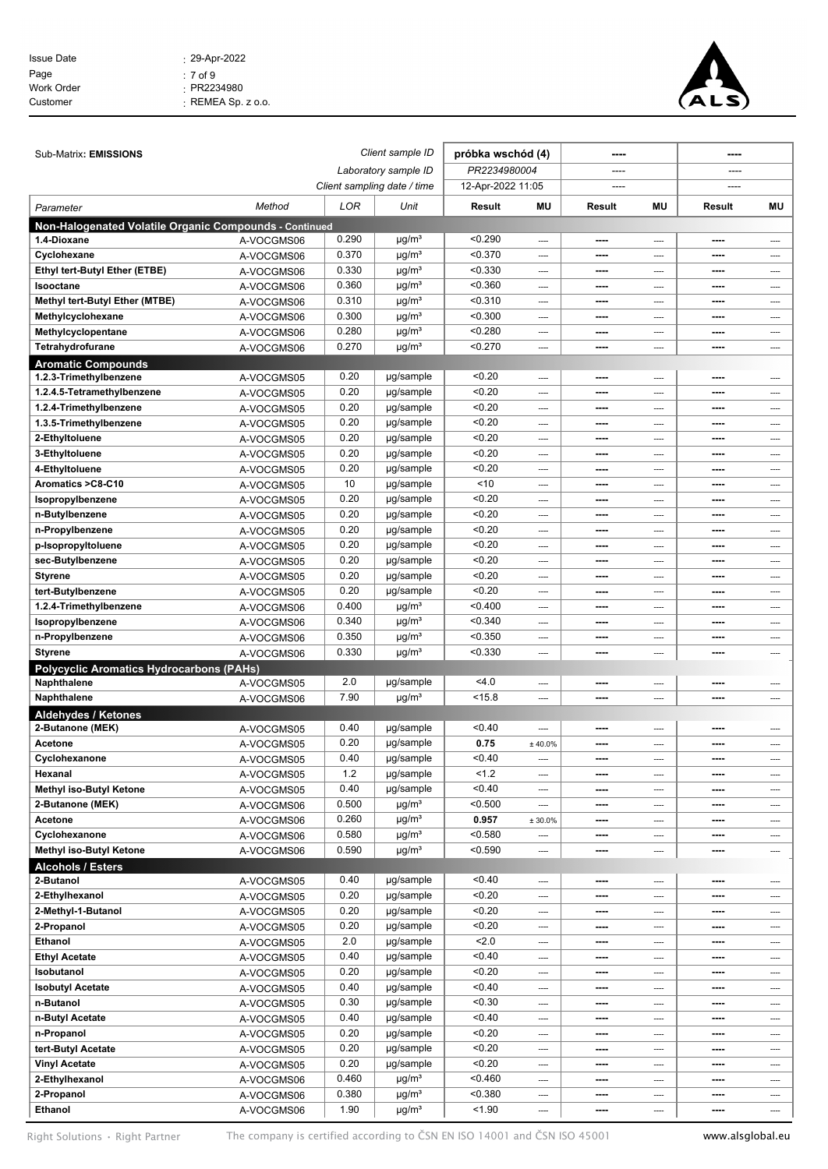| $: 29 - Apr - 2022$      |
|--------------------------|
| $: 7$ of 9               |
| $\cdot$ PR2234980        |
| $\cdot$ REMEA Sp. z o.o. |
|                          |



| Sub-Matrix: EMISSIONS                                                 |            |       | Client sample ID<br>próbka wschód (4) |                   |              | ----                     |                          |              |          |
|-----------------------------------------------------------------------|------------|-------|---------------------------------------|-------------------|--------------|--------------------------|--------------------------|--------------|----------|
|                                                                       |            |       | Laboratory sample ID                  | PR2234980004      |              | ----                     |                          | ----         |          |
|                                                                       |            |       | Client sampling date / time           | 12-Apr-2022 11:05 |              |                          |                          |              |          |
| Parameter                                                             | Method     | LOR   | Unit                                  | Result<br>MU      |              | <b>MU</b><br>Result      |                          | Result<br>ΜU |          |
|                                                                       |            |       |                                       |                   |              |                          |                          |              |          |
| Non-Halogenated Volatile Organic Compounds - Continued<br>1.4-Dioxane | A-VOCGMS06 | 0.290 | $\mu$ g/m <sup>3</sup>                | < 0.290           | ----         | ----                     | ----                     | ----         | ----     |
| Cyclohexane                                                           | A-VOCGMS06 | 0.370 | $\mu$ g/m <sup>3</sup>                | < 0.370           | ----         | ----                     | ----                     | ----         | ----     |
| Ethyl tert-Butyl Ether (ETBE)                                         | A-VOCGMS06 | 0.330 | $\mu$ g/m <sup>3</sup>                | < 0.330           | ----         | ----                     | ----                     | ----         | ----     |
| Isooctane                                                             | A-VOCGMS06 | 0.360 | $\mu$ g/m <sup>3</sup>                | < 0.360           | ----         | ----                     | ----                     | ----         | ----     |
| Methyl tert-Butyl Ether (MTBE)                                        | A-VOCGMS06 | 0.310 | $\mu$ g/m <sup>3</sup>                | < 0.310           | ----         | ----                     | ----                     | ----         | ----     |
| Methylcyclohexane                                                     | A-VOCGMS06 | 0.300 | $\mu$ g/m <sup>3</sup>                | < 0.300           | ----         |                          | ----                     | ----         | ----     |
| Methylcyclopentane                                                    | A-VOCGMS06 | 0.280 | $\mu$ g/m <sup>3</sup>                | < 0.280           | ----         | ----                     | ----                     | ----         | ----     |
| Tetrahydrofurane                                                      | A-VOCGMS06 | 0.270 | $\mu$ g/m <sup>3</sup>                | < 0.270           | ----         | ----                     | ----                     | ----         | $---$    |
| <b>Aromatic Compounds</b>                                             |            |       |                                       |                   |              |                          |                          |              |          |
| 1.2.3-Trimethylbenzene                                                | A-VOCGMS05 | 0.20  | µg/sample                             | < 0.20            | ----         | ----                     | ----                     | ----         |          |
| 1.2.4.5-Tetramethylbenzene                                            | A-VOCGMS05 | 0.20  | µg/sample                             | < 0.20            | ----         | ----                     | ----                     | ----         | ----     |
| 1.2.4-Trimethylbenzene                                                | A-VOCGMS05 | 0.20  | µg/sample                             | < 0.20            | ----         | $- - - -$                | $---$                    | ----         | ----     |
| 1.3.5-Trimethylbenzene                                                | A-VOCGMS05 | 0.20  | µg/sample                             | < 0.20            | ----         | ----                     | ----                     | ----         | ----     |
| 2-Ethyltoluene                                                        | A-VOCGMS05 | 0.20  | µg/sample                             | < 0.20            | ----         | ----                     | ----                     | ----         | ----     |
| 3-Ethyltoluene                                                        | A-VOCGMS05 | 0.20  | µg/sample                             | < 0.20            | ----         | $- - - -$                | $---$                    | ----         | ----     |
| 4-Ethyltoluene                                                        | A-VOCGMS05 | 0.20  | µg/sample                             | < 0.20            | ----         | $- - - -$                | ----                     | ----         | ----     |
| Aromatics > C8-C10                                                    | A-VOCGMS05 | 10    | µg/sample                             | ~10               | ----         |                          | ----                     |              | ----     |
| Isopropylbenzene                                                      | A-VOCGMS05 | 0.20  | µg/sample                             | < 0.20            | $---$        | ----                     | $---$                    | ----         | ----     |
| n-Butylbenzene                                                        | A-VOCGMS05 | 0.20  | µg/sample                             | < 0.20            | ----         | ----                     | ----                     | ----         | ----     |
| n-Propylbenzene                                                       | A-VOCGMS05 | 0.20  | µg/sample                             | < 0.20            | ----         | ----                     | ----                     | ----         | ----     |
| p-IsopropyItoluene                                                    | A-VOCGMS05 | 0.20  | µg/sample                             | < 0.20            | ----         | ----                     | ----                     | ----         | ----     |
| sec-Butylbenzene                                                      | A-VOCGMS05 | 0.20  | µg/sample                             | < 0.20            | ----         | $- - - -$                | ----                     | ----         | ----     |
| Styrene                                                               | A-VOCGMS05 | 0.20  | µg/sample                             | < 0.20            | ----         | ----                     | ----                     | ----         | ----     |
| tert-Butylbenzene                                                     | A-VOCGMS05 | 0.20  | µg/sample                             | < 0.20            | ----         | ----                     | $---$                    | ----         | ----     |
| 1.2.4-Trimethylbenzene                                                | A-VOCGMS06 | 0.400 | $\mu$ g/m <sup>3</sup>                | < 0.400           | ----         | ----                     | ----                     | ----         | ----     |
| Isopropylbenzene                                                      | A-VOCGMS06 | 0.340 | $\mu$ g/m <sup>3</sup>                | < 0.340           | ----         | ----                     | ----                     | ----         | ----     |
| n-Propylbenzene                                                       | A-VOCGMS06 | 0.350 | $\mu$ g/m <sup>3</sup>                | < 0.350           | ----         | ----                     | ----                     | ----         | ----     |
| Styrene                                                               | A-VOCGMS06 | 0.330 | $\mu$ g/m <sup>3</sup>                | < 0.330           | ----         |                          | ----                     | ----         | ----     |
| <b>Polycyclic Aromatics Hydrocarbons (PAHs)</b><br>Naphthalene        |            | 2.0   |                                       | 4.0               |              |                          |                          |              |          |
| Naphthalene                                                           | A-VOCGMS05 | 7.90  | µg/sample<br>$\mu$ g/m <sup>3</sup>   | < 15.8            | ----<br>---- | ----<br>----             | ----<br>----             | ----         | ----     |
|                                                                       | A-VOCGMS06 |       |                                       |                   |              |                          |                          |              | ----     |
| <b>Aldehydes / Ketones</b><br>2-Butanone (MEK)                        | A-VOCGMS05 | 0.40  | µg/sample                             | < 0.40            | ----         | ----                     | ----                     | ----         |          |
| Acetone                                                               | A-VOCGMS05 | 0.20  | µg/sample                             | 0.75              | ± 40.0%      | $- - - -$                | $\overline{\phantom{a}}$ | ----         | ----     |
| Cyclohexanone                                                         | A-VOCGMS05 | 0.40  | µg/sample                             | < 0.40            |              | $- - - -$                | ----                     | ----         | ----     |
| Hexanal                                                               | A-VOCGMS05 | $1.2$ | µg/sample                             | 1.2               | ----         | ----                     | ----                     | ----         | ----     |
| Methyl iso-Butyl Ketone                                               | A-VOCGMS05 | 0.40  | µg/sample                             | < 0.40            | ----         | $\overline{\phantom{a}}$ | ----                     | ----         | ----     |
| 2-Butanone (MEK)                                                      | A-VOCGMS06 | 0.500 | $\mu$ g/m <sup>3</sup>                | < 0.500           | ----         | ----                     | ----                     | ----         | ----     |
| Acetone                                                               | A-VOCGMS06 | 0.260 | $\mu$ g/m <sup>3</sup>                | 0.957             | ± 30.0%      | ----                     | ----                     | ----         | ----     |
| Cyclohexanone                                                         | A-VOCGMS06 | 0.580 | $\mu$ g/m <sup>3</sup>                | < 0.580           | ----         | $---$                    | ----                     | ----         | ----     |
| Methyl iso-Butyl Ketone                                               | A-VOCGMS06 | 0.590 | $\mu$ g/m <sup>3</sup>                | < 0.590           | ----         |                          | ----                     | ----         | ----     |
| <b>Alcohols / Esters</b>                                              |            |       |                                       |                   |              |                          |                          |              |          |
| 2-Butanol                                                             | A-VOCGMS05 | 0.40  | µg/sample                             | < 0.40            | ----         | ----                     | ----                     | ----         | ----     |
| 2-Ethylhexanol                                                        | A-VOCGMS05 | 0.20  | µg/sample                             | < 0.20            | ----         | $---$                    | ----                     | ----         | ----     |
| 2-Methyl-1-Butanol                                                    | A-VOCGMS05 | 0.20  | µg/sample                             | < 0.20            | ----         | ----                     | ----                     | ----         | ----     |
| 2-Propanol                                                            | A-VOCGMS05 | 0.20  | µg/sample                             | < 0.20            | ----         | ----                     | ----                     | ----         | ----     |
| Ethanol                                                               | A-VOCGMS05 | 2.0   | µg/sample                             | 2.0               | ----         | ----                     | ----                     | ----         | ----     |
| <b>Ethyl Acetate</b>                                                  | A-VOCGMS05 | 0.40  | µg/sample                             | < 0.40            | ----         | ----                     | ----                     | ----         | ----     |
| Isobutanol                                                            | A-VOCGMS05 | 0.20  | µg/sample                             | < 0.20            | ----         | ----                     | ----                     | ----         | ----     |
| <b>Isobutyl Acetate</b>                                               | A-VOCGMS05 | 0.40  | µg/sample                             | < 0.40            | ----         | ----                     | ----                     | ----         | $\cdots$ |
| n-Butanol                                                             | A-VOCGMS05 | 0.30  | µg/sample                             | < 0.30            | ----         | ----                     | ----                     | ----         | ----     |
| n-Butyl Acetate                                                       | A-VOCGMS05 | 0.40  | µg/sample                             | < 0.40            | ----         | ----                     | ----                     | ----         | ----     |
| n-Propanol                                                            | A-VOCGMS05 | 0.20  | µg/sample                             | < 0.20            | ----         | ----                     | ----                     | ----         | ----     |
| tert-Butyl Acetate                                                    | A-VOCGMS05 | 0.20  | µg/sample                             | < 0.20            | ----         | ----                     | ----                     | ----         | ----     |
| Vinyl Acetate                                                         | A-VOCGMS05 | 0.20  | µg/sample                             | < 0.20            | ----         | ----                     | ----                     | ----         | ----     |
| 2-Ethylhexanol                                                        | A-VOCGMS06 | 0.460 | $\mu$ g/m <sup>3</sup>                | < 0.460           | ----         | $---$                    | ----                     | ----         | ----     |
| 2-Propanol                                                            | A-VOCGMS06 | 0.380 | $\mu$ g/m <sup>3</sup>                | < 0.380           | ----         | ----                     | ----                     | ----         | ----     |
| Ethanol                                                               | A-VOCGMS06 | 1.90  | $\mu$ g/m <sup>3</sup>                | < 1.90            | ----         | ----                     | ----                     | ----         | ----     |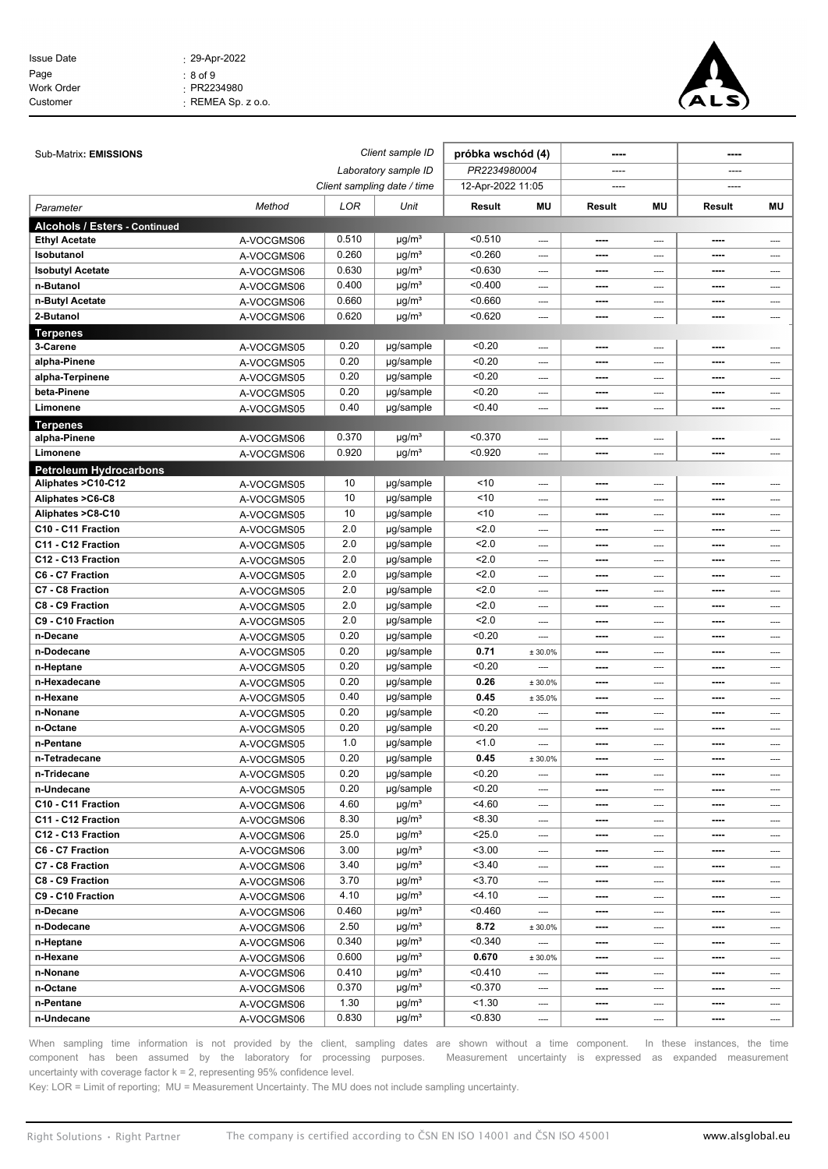| <b>Issue Date</b> | $: 29 - Apr - 2022$      |
|-------------------|--------------------------|
| Page              | $: 8$ of $9$             |
| <b>Work Order</b> | $\cdot$ PR2234980        |
| Customer          | $\cdot$ REMEA Sp. z o.o. |



| Sub-Matrix: EMISSIONS         |            | Client sample ID<br>próbka wschód (4) |                             |                   |          |        |      |        |          |
|-------------------------------|------------|---------------------------------------|-----------------------------|-------------------|----------|--------|------|--------|----------|
|                               |            |                                       | Laboratory sample ID        | PR2234980004      |          |        |      |        |          |
|                               |            |                                       | Client sampling date / time | 12-Apr-2022 11:05 |          | ----   |      |        |          |
| Parameter                     | Method     | LOR                                   | Unit                        | Result            | MU       | Result | MU   | Result | ΜU       |
| Alcohols / Esters - Continued |            |                                       |                             |                   |          |        |      |        |          |
| <b>Ethyl Acetate</b>          | A-VOCGMS06 | 0.510                                 | $\mu$ g/m <sup>3</sup>      | < 0.510           | $\cdots$ | ----   | ---- | ----   | ----     |
| Isobutanol                    | A-VOCGMS06 | 0.260                                 | $\mu$ g/m <sup>3</sup>      | < 0.260           | ----     | ----   | ---- | ----   | ----     |
| <b>Isobutyl Acetate</b>       | A-VOCGMS06 | 0.630                                 | $\mu$ g/m <sup>3</sup>      | < 0.630           | ----     |        | ---- | ----   | ----     |
| n-Butanol                     | A-VOCGMS06 | 0.400                                 | $\mu$ g/m <sup>3</sup>      | < 0.400           | ----     | ----   | ---- | ----   | $---$    |
| n-Butyl Acetate               | A-VOCGMS06 | 0.660                                 | $\mu$ g/m <sup>3</sup>      | < 0.660           | ----     | ----   | ---- | ----   | ----     |
| 2-Butanol                     | A-VOCGMS06 | 0.620                                 | $\mu$ g/m <sup>3</sup>      | < 0.620           | ----     | ----   | ---- | ----   | ----     |
| <b>Terpenes</b>               |            |                                       |                             |                   |          |        |      |        |          |
| 3-Carene                      | A-VOCGMS05 | 0.20                                  | µg/sample                   | < 0.20            | $---$    | ----   | ---- | ----   | ----     |
| alpha-Pinene                  | A-VOCGMS05 | 0.20                                  | µg/sample                   | < 0.20            | ----     | ----   | ---- | ----   | ----     |
| alpha-Terpinene               | A-VOCGMS05 | 0.20                                  | µg/sample                   | < 0.20            | ----     | ----   | ---- | ----   | ----     |
| beta-Pinene                   | A-VOCGMS05 | 0.20                                  | µg/sample                   | < 0.20            | ----     | ----   | ---- | ----   | ----     |
| Limonene                      | A-VOCGMS05 | 0.40                                  | µg/sample                   | < 0.40            | ----     | ----   | ---- | ----   | ----     |
| <b>Terpenes</b>               |            |                                       |                             |                   |          |        |      |        |          |
| alpha-Pinene                  | A-VOCGMS06 | 0.370                                 | $\mu$ g/m <sup>3</sup>      | < 0.370           | ----     | ----   | ---- | ----   |          |
| Limonene                      | A-VOCGMS06 | 0.920                                 | $\mu$ g/m <sup>3</sup>      | < 0.920           | ----     | ----   | ---- | ----   | ----     |
| <b>Petroleum Hydrocarbons</b> |            |                                       |                             |                   |          |        |      |        |          |
| Aliphates > C10-C12           | A-VOCGMS05 | 10                                    | µg/sample                   | ~10               | ----     | ----   | ---- | ----   | ----     |
| Aliphates >C6-C8              | A-VOCGMS05 | 10                                    | µg/sample                   | ~10               | $\cdots$ | ----   | ---- | ----   | ----     |
| Aliphates >C8-C10             | A-VOCGMS05 | 10                                    | µg/sample                   | ~10               | ----     | ----   | ---- | ----   | ----     |
| C10 - C11 Fraction            | A-VOCGMS05 | 2.0                                   | µg/sample                   | 2.0               | ----     | ----   | ---- | ----   | ----     |
| C11 - C12 Fraction            | A-VOCGMS05 | 2.0                                   | µg/sample                   | 2.0               | ----     | ----   | ---- | ----   | ----     |
| C12 - C13 Fraction            | A-VOCGMS05 | 2.0                                   | µg/sample                   | 2.0               | ----     | ----   | ---- | ----   | ----     |
| C6 - C7 Fraction              | A-VOCGMS05 | 2.0                                   | µg/sample                   | 2.0               | ----     | ----   | ---- | ----   | ----     |
| C7 - C8 Fraction              | A-VOCGMS05 | 2.0                                   | µg/sample                   | 2.0               | $\cdots$ | ----   | ---- | ----   | ----     |
| C8 - C9 Fraction              | A-VOCGMS05 | 2.0                                   | µg/sample                   | 2.0               | ----     | ----   | ---- | ----   | ----     |
| C9 - C10 Fraction             | A-VOCGMS05 | 2.0                                   | µg/sample                   | 2.0               | ----     |        | ---- | ----   | ----     |
| n-Decane                      | A-VOCGMS05 | 0.20                                  | µg/sample                   | < 0.20            | ----     | ----   | ---- | ----   | ----     |
| n-Dodecane                    | A-VOCGMS05 | 0.20                                  | µg/sample                   | 0.71              | ± 30.0%  | ----   | ---- | ----   | ----     |
| n-Heptane                     | A-VOCGMS05 | 0.20                                  | µg/sample                   | < 0.20            |          | ----   | ---- | ----   | ----     |
| n-Hexadecane                  | A-VOCGMS05 | 0.20                                  | µg/sample                   | 0.26              | ± 30.0%  | ----   | ---- | ----   | ----     |
| n-Hexane                      | A-VOCGMS05 | 0.40                                  | µg/sample                   | 0.45              | ± 35.0%  | ----   | ---- | ----   | ----     |
| n-Nonane                      | A-VOCGMS05 | 0.20                                  | µg/sample                   | < 0.20            | ----     | ----   | ---- | ----   | ----     |
| n-Octane                      | A-VOCGMS05 | 0.20                                  | µg/sample                   | < 0.20            | ----     | ----   | ---- | ----   | ----     |
| n-Pentane                     | A-VOCGMS05 | 1.0                                   | µg/sample                   | 1.0               | ----     | ----   | ---- | ----   | ----     |
| n-Tetradecane                 | A-VOCGMS05 | 0.20                                  | µg/sample                   | 0.45              | ± 30.0%  | ----   | ---- | ----   | ----     |
| n-Tridecane                   | A-VOCGMS05 | 0.20                                  | µg/sample                   | < 0.20            | ----     | ----   | ---- | ----   | ----     |
| n-Undecane                    | A-VOCGMS05 | 0.20                                  | µg/sample                   | < 0.20            | ----     | ----   | ---- | ----   | ----     |
| C10 - C11 Fraction            | A-VOCGMS06 | 4.60                                  | $\mu$ g/m <sup>3</sup>      | 4.60              | $\cdots$ | ----   | ---- | ----   | ----     |
| C11 - C12 Fraction            | A-VOCGMS06 | 8.30                                  | $\mu$ g/m <sup>3</sup>      | < 8.30            | ----     | ----   | ---- | ----   | ----     |
| C12 - C13 Fraction            | A-VOCGMS06 | 25.0                                  | $\mu$ g/m <sup>3</sup>      | < 25.0            | ----     | ----   | ---- | ----   | ----     |
| C6 - C7 Fraction              | A-VOCGMS06 | 3.00                                  | $\mu$ g/m <sup>3</sup>      | < 3.00            | $\cdots$ | ----   | ---- | ----   | ----     |
| C7 - C8 Fraction              | A-VOCGMS06 | 3.40                                  | $\mu$ g/m <sup>3</sup>      | 3.40              | $\cdots$ | ----   | ---- | ----   | ----     |
| C8 - C9 Fraction              | A-VOCGMS06 | 3.70                                  | $\mu$ g/m <sup>3</sup>      | 3.70              | ----     | ----   | ---- | ----   | ----     |
| C9 - C10 Fraction             | A-VOCGMS06 | 4.10                                  | $\mu$ g/m <sup>3</sup>      | 4.10              | $\cdots$ | ----   | ---- | ----   | ----     |
| n-Decane                      | A-VOCGMS06 | 0.460                                 | $\mu$ g/m <sup>3</sup>      | < 0.460           | ----     | ----   |      | ----   | ----     |
| n-Dodecane                    | A-VOCGMS06 | 2.50                                  | $\mu$ g/m <sup>3</sup>      | 8.72              | ± 30.0%  | ----   | ---- | ----   | ----     |
| n-Heptane                     | A-VOCGMS06 | 0.340                                 | $\mu$ g/m <sup>3</sup>      | < 0.340           |          | ----   | ---- | ----   | $\cdots$ |
| n-Hexane                      | A-VOCGMS06 | 0.600                                 | $\mu$ g/m <sup>3</sup>      | 0.670             | ± 30.0%  | ----   | ---- | ----   | ----     |
| n-Nonane                      | A-VOCGMS06 | 0.410                                 | $\mu$ g/m <sup>3</sup>      | < 0.410           | ----     | ----   | ---- | ----   | ----     |
| n-Octane                      | A-VOCGMS06 | 0.370                                 | $\mu$ g/m <sup>3</sup>      | < 0.370           | $\cdots$ | ----   | ---- | ----   | ----     |
| n-Pentane                     | A-VOCGMS06 | 1.30                                  | $\mu$ g/m <sup>3</sup>      | < 1.30            | ----     | ----   | ---- | ----   | ----     |
| n-Undecane                    | A-VOCGMS06 | 0.830                                 | $\mu$ g/m <sup>3</sup>      | < 0.830           | ----     | ----   | ---- | ----   | ----     |
|                               |            |                                       |                             |                   |          |        |      |        |          |

When sampling time information is not provided by the client, sampling dates are shown without a time component. In these instances, the time component has been assumed by the laboratory for processing purposes. Measurement uncertainty is expressed as expanded measurement uncertainty with coverage factor  $k = 2$ , representing 95% confidence level.

Key: LOR = Limit of reporting; MU = Measurement Uncertainty. The MU does not include sampling uncertainty.